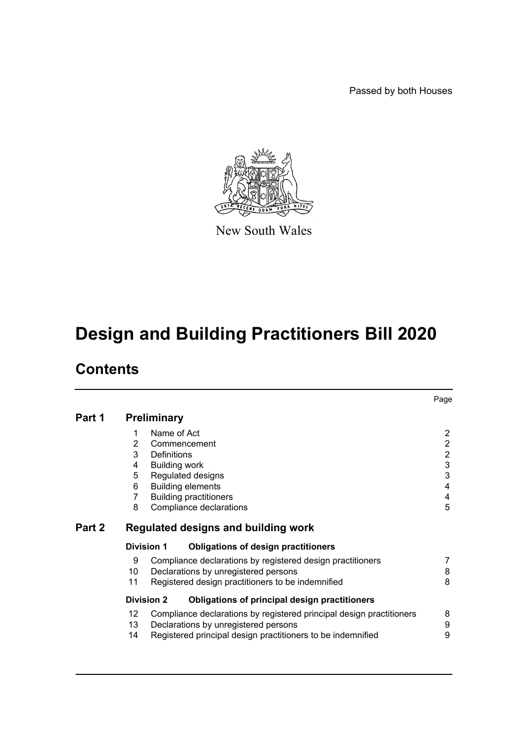Passed by both Houses



New South Wales

# **Design and Building Practitioners Bill 2020**

# **Contents**

|        |                                      |                                                                                                                                                                                 | Page                                                                                                |
|--------|--------------------------------------|---------------------------------------------------------------------------------------------------------------------------------------------------------------------------------|-----------------------------------------------------------------------------------------------------|
| Part 1 |                                      | <b>Preliminary</b>                                                                                                                                                              |                                                                                                     |
|        | 1<br>2<br>3<br>4<br>5<br>6<br>7<br>8 | Name of Act<br>Commencement<br>Definitions<br><b>Building work</b><br>Regulated designs<br><b>Building elements</b><br><b>Building practitioners</b><br>Compliance declarations | $\overline{2}$<br>$\overline{2}$<br>$\overline{2}$<br>$\ensuremath{\mathsf{3}}$<br>3<br>4<br>4<br>5 |
| Part 2 |                                      | Regulated designs and building work                                                                                                                                             |                                                                                                     |
|        |                                      | <b>Division 1</b><br><b>Obligations of design practitioners</b>                                                                                                                 |                                                                                                     |
|        | 9<br>10<br>11                        | Compliance declarations by registered design practitioners<br>Declarations by unregistered persons<br>Registered design practitioners to be indemnified                         | 7<br>8<br>8                                                                                         |
|        |                                      | <b>Division 2</b><br>Obligations of principal design practitioners                                                                                                              |                                                                                                     |
|        | 12<br>13<br>14                       | Compliance declarations by registered principal design practitioners<br>Declarations by unregistered persons<br>Registered principal design practitioners to be indemnified     | 8<br>9<br>9                                                                                         |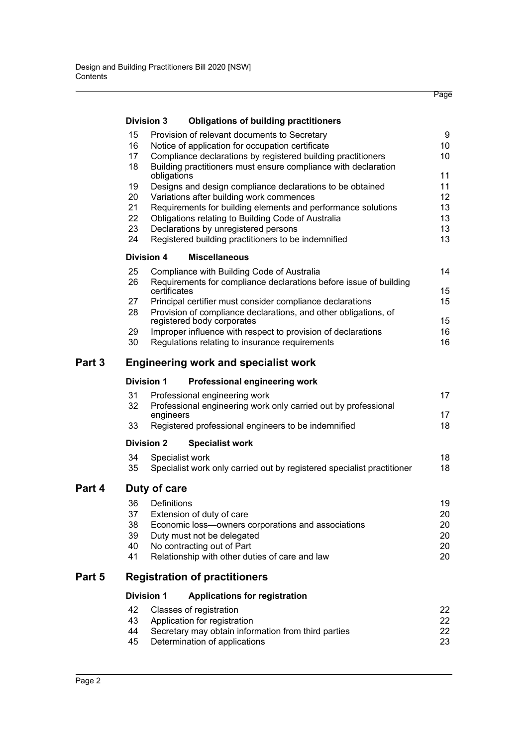| 9<br>15<br>Provision of relevant documents to Secretary<br>16<br>Notice of application for occupation certificate<br>10<br>17<br>Compliance declarations by registered building practitioners<br>10<br>18<br>Building practitioners must ensure compliance with declaration<br>11<br>obligations<br>11<br>19<br>Designs and design compliance declarations to be obtained<br>20<br>Variations after building work commences<br>12<br>21<br>Requirements for building elements and performance solutions<br>13<br>13<br>22<br>Obligations relating to Building Code of Australia<br>13<br>23<br>Declarations by unregistered persons<br>13<br>24<br>Registered building practitioners to be indemnified<br><b>Division 4</b><br><b>Miscellaneous</b><br>14<br>25<br>Compliance with Building Code of Australia<br>26<br>Requirements for compliance declarations before issue of building<br>15<br>certificates<br>15<br>27<br>Principal certifier must consider compliance declarations<br>28<br>Provision of compliance declarations, and other obligations, of<br>15<br>registered body corporates<br>Improper influence with respect to provision of declarations<br>16<br>29<br>Regulations relating to insurance requirements<br>30<br>16<br>Part 3<br><b>Engineering work and specialist work</b><br><b>Division 1</b><br>Professional engineering work<br>17<br>31<br>Professional engineering work<br>32<br>Professional engineering work only carried out by professional<br>17<br>engineers<br>18<br>33<br>Registered professional engineers to be indemnified<br><b>Division 2</b><br><b>Specialist work</b><br>18<br>34<br>Specialist work<br>18<br>35<br>Specialist work only carried out by registered specialist practitioner<br>Part 4<br>Duty of care<br>Definitions<br>19<br>36<br>37<br>20<br>Extension of duty of care<br>38<br>Economic loss-owners corporations and associations<br>20<br>39<br>Duty must not be delegated<br>20<br>40<br>No contracting out of Part<br>20<br>41<br>Relationship with other duties of care and law<br>20<br>Part 5<br><b>Registration of practitioners</b><br><b>Division 1</b><br><b>Applications for registration</b><br>42<br>Classes of registration<br>22<br>43<br>Application for registration<br>22<br>44<br>Secretary may obtain information from third parties<br>22 |  | <b>Division 3</b> |  | <b>Obligations of building practitioners</b> |    |  |  |  |
|-------------------------------------------------------------------------------------------------------------------------------------------------------------------------------------------------------------------------------------------------------------------------------------------------------------------------------------------------------------------------------------------------------------------------------------------------------------------------------------------------------------------------------------------------------------------------------------------------------------------------------------------------------------------------------------------------------------------------------------------------------------------------------------------------------------------------------------------------------------------------------------------------------------------------------------------------------------------------------------------------------------------------------------------------------------------------------------------------------------------------------------------------------------------------------------------------------------------------------------------------------------------------------------------------------------------------------------------------------------------------------------------------------------------------------------------------------------------------------------------------------------------------------------------------------------------------------------------------------------------------------------------------------------------------------------------------------------------------------------------------------------------------------------------------------------------------------------------------------------------------------------------------------------------------------------------------------------------------------------------------------------------------------------------------------------------------------------------------------------------------------------------------------------------------------------------------------------------------------------------------------------------------------------------------------------------------------------|--|-------------------|--|----------------------------------------------|----|--|--|--|
|                                                                                                                                                                                                                                                                                                                                                                                                                                                                                                                                                                                                                                                                                                                                                                                                                                                                                                                                                                                                                                                                                                                                                                                                                                                                                                                                                                                                                                                                                                                                                                                                                                                                                                                                                                                                                                                                                                                                                                                                                                                                                                                                                                                                                                                                                                                                     |  |                   |  |                                              |    |  |  |  |
|                                                                                                                                                                                                                                                                                                                                                                                                                                                                                                                                                                                                                                                                                                                                                                                                                                                                                                                                                                                                                                                                                                                                                                                                                                                                                                                                                                                                                                                                                                                                                                                                                                                                                                                                                                                                                                                                                                                                                                                                                                                                                                                                                                                                                                                                                                                                     |  |                   |  |                                              |    |  |  |  |
|                                                                                                                                                                                                                                                                                                                                                                                                                                                                                                                                                                                                                                                                                                                                                                                                                                                                                                                                                                                                                                                                                                                                                                                                                                                                                                                                                                                                                                                                                                                                                                                                                                                                                                                                                                                                                                                                                                                                                                                                                                                                                                                                                                                                                                                                                                                                     |  |                   |  |                                              |    |  |  |  |
|                                                                                                                                                                                                                                                                                                                                                                                                                                                                                                                                                                                                                                                                                                                                                                                                                                                                                                                                                                                                                                                                                                                                                                                                                                                                                                                                                                                                                                                                                                                                                                                                                                                                                                                                                                                                                                                                                                                                                                                                                                                                                                                                                                                                                                                                                                                                     |  |                   |  |                                              |    |  |  |  |
|                                                                                                                                                                                                                                                                                                                                                                                                                                                                                                                                                                                                                                                                                                                                                                                                                                                                                                                                                                                                                                                                                                                                                                                                                                                                                                                                                                                                                                                                                                                                                                                                                                                                                                                                                                                                                                                                                                                                                                                                                                                                                                                                                                                                                                                                                                                                     |  |                   |  |                                              |    |  |  |  |
|                                                                                                                                                                                                                                                                                                                                                                                                                                                                                                                                                                                                                                                                                                                                                                                                                                                                                                                                                                                                                                                                                                                                                                                                                                                                                                                                                                                                                                                                                                                                                                                                                                                                                                                                                                                                                                                                                                                                                                                                                                                                                                                                                                                                                                                                                                                                     |  |                   |  |                                              |    |  |  |  |
|                                                                                                                                                                                                                                                                                                                                                                                                                                                                                                                                                                                                                                                                                                                                                                                                                                                                                                                                                                                                                                                                                                                                                                                                                                                                                                                                                                                                                                                                                                                                                                                                                                                                                                                                                                                                                                                                                                                                                                                                                                                                                                                                                                                                                                                                                                                                     |  |                   |  |                                              |    |  |  |  |
|                                                                                                                                                                                                                                                                                                                                                                                                                                                                                                                                                                                                                                                                                                                                                                                                                                                                                                                                                                                                                                                                                                                                                                                                                                                                                                                                                                                                                                                                                                                                                                                                                                                                                                                                                                                                                                                                                                                                                                                                                                                                                                                                                                                                                                                                                                                                     |  |                   |  |                                              |    |  |  |  |
|                                                                                                                                                                                                                                                                                                                                                                                                                                                                                                                                                                                                                                                                                                                                                                                                                                                                                                                                                                                                                                                                                                                                                                                                                                                                                                                                                                                                                                                                                                                                                                                                                                                                                                                                                                                                                                                                                                                                                                                                                                                                                                                                                                                                                                                                                                                                     |  |                   |  |                                              |    |  |  |  |
|                                                                                                                                                                                                                                                                                                                                                                                                                                                                                                                                                                                                                                                                                                                                                                                                                                                                                                                                                                                                                                                                                                                                                                                                                                                                                                                                                                                                                                                                                                                                                                                                                                                                                                                                                                                                                                                                                                                                                                                                                                                                                                                                                                                                                                                                                                                                     |  |                   |  |                                              |    |  |  |  |
|                                                                                                                                                                                                                                                                                                                                                                                                                                                                                                                                                                                                                                                                                                                                                                                                                                                                                                                                                                                                                                                                                                                                                                                                                                                                                                                                                                                                                                                                                                                                                                                                                                                                                                                                                                                                                                                                                                                                                                                                                                                                                                                                                                                                                                                                                                                                     |  |                   |  |                                              |    |  |  |  |
|                                                                                                                                                                                                                                                                                                                                                                                                                                                                                                                                                                                                                                                                                                                                                                                                                                                                                                                                                                                                                                                                                                                                                                                                                                                                                                                                                                                                                                                                                                                                                                                                                                                                                                                                                                                                                                                                                                                                                                                                                                                                                                                                                                                                                                                                                                                                     |  |                   |  |                                              |    |  |  |  |
|                                                                                                                                                                                                                                                                                                                                                                                                                                                                                                                                                                                                                                                                                                                                                                                                                                                                                                                                                                                                                                                                                                                                                                                                                                                                                                                                                                                                                                                                                                                                                                                                                                                                                                                                                                                                                                                                                                                                                                                                                                                                                                                                                                                                                                                                                                                                     |  |                   |  |                                              |    |  |  |  |
|                                                                                                                                                                                                                                                                                                                                                                                                                                                                                                                                                                                                                                                                                                                                                                                                                                                                                                                                                                                                                                                                                                                                                                                                                                                                                                                                                                                                                                                                                                                                                                                                                                                                                                                                                                                                                                                                                                                                                                                                                                                                                                                                                                                                                                                                                                                                     |  |                   |  |                                              |    |  |  |  |
|                                                                                                                                                                                                                                                                                                                                                                                                                                                                                                                                                                                                                                                                                                                                                                                                                                                                                                                                                                                                                                                                                                                                                                                                                                                                                                                                                                                                                                                                                                                                                                                                                                                                                                                                                                                                                                                                                                                                                                                                                                                                                                                                                                                                                                                                                                                                     |  |                   |  |                                              |    |  |  |  |
|                                                                                                                                                                                                                                                                                                                                                                                                                                                                                                                                                                                                                                                                                                                                                                                                                                                                                                                                                                                                                                                                                                                                                                                                                                                                                                                                                                                                                                                                                                                                                                                                                                                                                                                                                                                                                                                                                                                                                                                                                                                                                                                                                                                                                                                                                                                                     |  |                   |  |                                              |    |  |  |  |
|                                                                                                                                                                                                                                                                                                                                                                                                                                                                                                                                                                                                                                                                                                                                                                                                                                                                                                                                                                                                                                                                                                                                                                                                                                                                                                                                                                                                                                                                                                                                                                                                                                                                                                                                                                                                                                                                                                                                                                                                                                                                                                                                                                                                                                                                                                                                     |  |                   |  |                                              |    |  |  |  |
|                                                                                                                                                                                                                                                                                                                                                                                                                                                                                                                                                                                                                                                                                                                                                                                                                                                                                                                                                                                                                                                                                                                                                                                                                                                                                                                                                                                                                                                                                                                                                                                                                                                                                                                                                                                                                                                                                                                                                                                                                                                                                                                                                                                                                                                                                                                                     |  |                   |  |                                              |    |  |  |  |
|                                                                                                                                                                                                                                                                                                                                                                                                                                                                                                                                                                                                                                                                                                                                                                                                                                                                                                                                                                                                                                                                                                                                                                                                                                                                                                                                                                                                                                                                                                                                                                                                                                                                                                                                                                                                                                                                                                                                                                                                                                                                                                                                                                                                                                                                                                                                     |  |                   |  |                                              |    |  |  |  |
|                                                                                                                                                                                                                                                                                                                                                                                                                                                                                                                                                                                                                                                                                                                                                                                                                                                                                                                                                                                                                                                                                                                                                                                                                                                                                                                                                                                                                                                                                                                                                                                                                                                                                                                                                                                                                                                                                                                                                                                                                                                                                                                                                                                                                                                                                                                                     |  |                   |  |                                              |    |  |  |  |
|                                                                                                                                                                                                                                                                                                                                                                                                                                                                                                                                                                                                                                                                                                                                                                                                                                                                                                                                                                                                                                                                                                                                                                                                                                                                                                                                                                                                                                                                                                                                                                                                                                                                                                                                                                                                                                                                                                                                                                                                                                                                                                                                                                                                                                                                                                                                     |  |                   |  |                                              |    |  |  |  |
|                                                                                                                                                                                                                                                                                                                                                                                                                                                                                                                                                                                                                                                                                                                                                                                                                                                                                                                                                                                                                                                                                                                                                                                                                                                                                                                                                                                                                                                                                                                                                                                                                                                                                                                                                                                                                                                                                                                                                                                                                                                                                                                                                                                                                                                                                                                                     |  |                   |  |                                              |    |  |  |  |
|                                                                                                                                                                                                                                                                                                                                                                                                                                                                                                                                                                                                                                                                                                                                                                                                                                                                                                                                                                                                                                                                                                                                                                                                                                                                                                                                                                                                                                                                                                                                                                                                                                                                                                                                                                                                                                                                                                                                                                                                                                                                                                                                                                                                                                                                                                                                     |  |                   |  |                                              |    |  |  |  |
|                                                                                                                                                                                                                                                                                                                                                                                                                                                                                                                                                                                                                                                                                                                                                                                                                                                                                                                                                                                                                                                                                                                                                                                                                                                                                                                                                                                                                                                                                                                                                                                                                                                                                                                                                                                                                                                                                                                                                                                                                                                                                                                                                                                                                                                                                                                                     |  |                   |  |                                              |    |  |  |  |
|                                                                                                                                                                                                                                                                                                                                                                                                                                                                                                                                                                                                                                                                                                                                                                                                                                                                                                                                                                                                                                                                                                                                                                                                                                                                                                                                                                                                                                                                                                                                                                                                                                                                                                                                                                                                                                                                                                                                                                                                                                                                                                                                                                                                                                                                                                                                     |  |                   |  |                                              |    |  |  |  |
|                                                                                                                                                                                                                                                                                                                                                                                                                                                                                                                                                                                                                                                                                                                                                                                                                                                                                                                                                                                                                                                                                                                                                                                                                                                                                                                                                                                                                                                                                                                                                                                                                                                                                                                                                                                                                                                                                                                                                                                                                                                                                                                                                                                                                                                                                                                                     |  |                   |  |                                              |    |  |  |  |
|                                                                                                                                                                                                                                                                                                                                                                                                                                                                                                                                                                                                                                                                                                                                                                                                                                                                                                                                                                                                                                                                                                                                                                                                                                                                                                                                                                                                                                                                                                                                                                                                                                                                                                                                                                                                                                                                                                                                                                                                                                                                                                                                                                                                                                                                                                                                     |  |                   |  |                                              |    |  |  |  |
|                                                                                                                                                                                                                                                                                                                                                                                                                                                                                                                                                                                                                                                                                                                                                                                                                                                                                                                                                                                                                                                                                                                                                                                                                                                                                                                                                                                                                                                                                                                                                                                                                                                                                                                                                                                                                                                                                                                                                                                                                                                                                                                                                                                                                                                                                                                                     |  |                   |  |                                              |    |  |  |  |
|                                                                                                                                                                                                                                                                                                                                                                                                                                                                                                                                                                                                                                                                                                                                                                                                                                                                                                                                                                                                                                                                                                                                                                                                                                                                                                                                                                                                                                                                                                                                                                                                                                                                                                                                                                                                                                                                                                                                                                                                                                                                                                                                                                                                                                                                                                                                     |  |                   |  |                                              |    |  |  |  |
|                                                                                                                                                                                                                                                                                                                                                                                                                                                                                                                                                                                                                                                                                                                                                                                                                                                                                                                                                                                                                                                                                                                                                                                                                                                                                                                                                                                                                                                                                                                                                                                                                                                                                                                                                                                                                                                                                                                                                                                                                                                                                                                                                                                                                                                                                                                                     |  |                   |  |                                              |    |  |  |  |
|                                                                                                                                                                                                                                                                                                                                                                                                                                                                                                                                                                                                                                                                                                                                                                                                                                                                                                                                                                                                                                                                                                                                                                                                                                                                                                                                                                                                                                                                                                                                                                                                                                                                                                                                                                                                                                                                                                                                                                                                                                                                                                                                                                                                                                                                                                                                     |  |                   |  |                                              |    |  |  |  |
|                                                                                                                                                                                                                                                                                                                                                                                                                                                                                                                                                                                                                                                                                                                                                                                                                                                                                                                                                                                                                                                                                                                                                                                                                                                                                                                                                                                                                                                                                                                                                                                                                                                                                                                                                                                                                                                                                                                                                                                                                                                                                                                                                                                                                                                                                                                                     |  |                   |  |                                              |    |  |  |  |
|                                                                                                                                                                                                                                                                                                                                                                                                                                                                                                                                                                                                                                                                                                                                                                                                                                                                                                                                                                                                                                                                                                                                                                                                                                                                                                                                                                                                                                                                                                                                                                                                                                                                                                                                                                                                                                                                                                                                                                                                                                                                                                                                                                                                                                                                                                                                     |  | 45                |  | Determination of applications                | 23 |  |  |  |

Page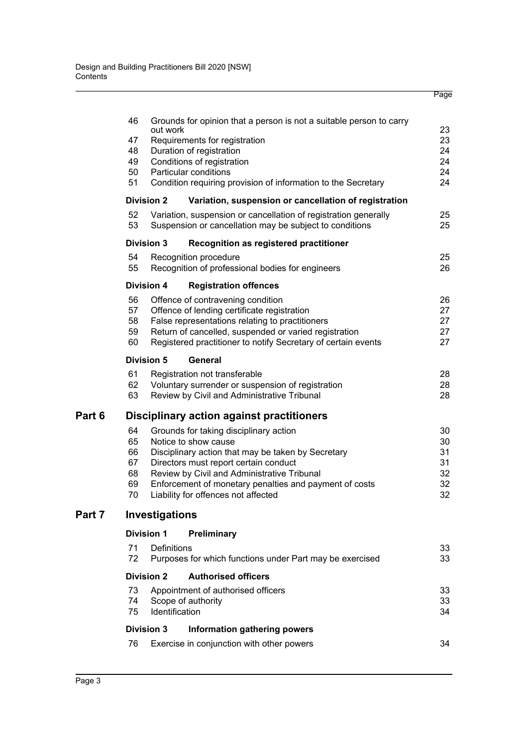| 46 |                                                               | Grounds for opinion that a person is not a suitable person to carry | 23       |  |
|----|---------------------------------------------------------------|---------------------------------------------------------------------|----------|--|
| 47 | out work<br>Requirements for registration                     |                                                                     |          |  |
| 48 |                                                               | Duration of registration                                            | 23<br>24 |  |
| 49 |                                                               | Conditions of registration                                          | 24       |  |
| 50 |                                                               | Particular conditions                                               | 24       |  |
| 51 | Condition requiring provision of information to the Secretary |                                                                     |          |  |
|    | Division 2                                                    | Variation, suspension or cancellation of registration               |          |  |
| 52 |                                                               | Variation, suspension or cancellation of registration generally     | 25       |  |
| 53 |                                                               | Suspension or cancellation may be subject to conditions             | 25       |  |
|    | Division 3                                                    | <b>Recognition as registered practitioner</b>                       |          |  |
| 54 |                                                               | Recognition procedure                                               | 25       |  |
| 55 |                                                               | Recognition of professional bodies for engineers                    | 26       |  |
|    | <b>Division 4</b>                                             | <b>Registration offences</b>                                        |          |  |
| 56 |                                                               | Offence of contravening condition                                   | 26       |  |
| 57 |                                                               | Offence of lending certificate registration                         | 27       |  |
| 58 |                                                               | False representations relating to practitioners                     | 27       |  |
| 59 |                                                               | Return of cancelled, suspended or varied registration               | 27       |  |
| 60 |                                                               | Registered practitioner to notify Secretary of certain events       | 27       |  |
|    | <b>Division 5</b>                                             | General                                                             |          |  |
| 61 |                                                               | Registration not transferable                                       | 28       |  |
| 62 |                                                               | Voluntary surrender or suspension of registration                   | 28       |  |
| 63 |                                                               | Review by Civil and Administrative Tribunal                         | 28       |  |
|    |                                                               | Disciplinary action against practitioners                           |          |  |
| 64 |                                                               | Grounds for taking disciplinary action                              | 30       |  |
| 65 |                                                               | Notice to show cause                                                | 30       |  |
| 66 |                                                               | Disciplinary action that may be taken by Secretary                  | 31       |  |
| 67 |                                                               | Directors must report certain conduct                               | 31       |  |
| 68 |                                                               | Review by Civil and Administrative Tribunal                         | 32       |  |
| 69 |                                                               | Enforcement of monetary penalties and payment of costs              | 32       |  |
| 70 |                                                               | Liability for offences not affected                                 | 32       |  |
|    | Investigations                                                |                                                                     |          |  |
|    | <b>Division 1</b>                                             | <b>Preliminary</b>                                                  |          |  |
| 71 | Definitions                                                   |                                                                     | 33       |  |
| 72 |                                                               | Purposes for which functions under Part may be exercised            | 33       |  |
|    | <b>Division 2</b>                                             | <b>Authorised officers</b>                                          |          |  |
| 73 | Appointment of authorised officers                            |                                                                     |          |  |
| 74 | 33<br>Scope of authority<br>33                                |                                                                     |          |  |
| 75 | Identification                                                |                                                                     | 34       |  |
|    | <b>Division 3</b>                                             | Information gathering powers                                        |          |  |
| 76 |                                                               | Exercise in conjunction with other powers                           | 34       |  |
|    |                                                               |                                                                     |          |  |

Page

**Part 6** 

**Part 7**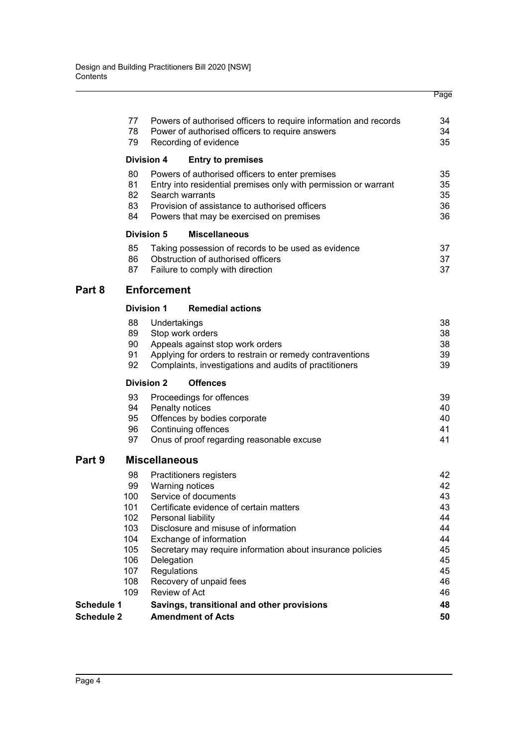|                   |                    |                      |                                                                                                                     | Page     |  |  |  |
|-------------------|--------------------|----------------------|---------------------------------------------------------------------------------------------------------------------|----------|--|--|--|
|                   | 77<br>78           |                      | Powers of authorised officers to require information and records<br>Power of authorised officers to require answers | 34<br>34 |  |  |  |
|                   | 79                 |                      | Recording of evidence                                                                                               | 35       |  |  |  |
|                   |                    | <b>Division 4</b>    | <b>Entry to premises</b>                                                                                            |          |  |  |  |
|                   | 80                 |                      | Powers of authorised officers to enter premises                                                                     | 35       |  |  |  |
|                   | 81<br>82           |                      | Entry into residential premises only with permission or warrant<br>Search warrants                                  | 35<br>35 |  |  |  |
|                   | 83                 |                      | Provision of assistance to authorised officers                                                                      | 36       |  |  |  |
|                   | 84                 |                      | Powers that may be exercised on premises                                                                            | 36       |  |  |  |
|                   |                    | <b>Division 5</b>    | <b>Miscellaneous</b>                                                                                                |          |  |  |  |
|                   | 85                 |                      | Taking possession of records to be used as evidence                                                                 | 37       |  |  |  |
|                   | 86                 |                      | Obstruction of authorised officers                                                                                  | 37       |  |  |  |
|                   | 87                 |                      | Failure to comply with direction                                                                                    | 37       |  |  |  |
| Part 8            | <b>Enforcement</b> |                      |                                                                                                                     |          |  |  |  |
|                   |                    | <b>Division 1</b>    | <b>Remedial actions</b>                                                                                             |          |  |  |  |
|                   | 88                 | Undertakings         |                                                                                                                     | 38       |  |  |  |
|                   | 89                 |                      | Stop work orders                                                                                                    | 38       |  |  |  |
|                   | 90<br>91           |                      | Appeals against stop work orders                                                                                    | 38       |  |  |  |
|                   | 92                 |                      | Applying for orders to restrain or remedy contraventions<br>Complaints, investigations and audits of practitioners  | 39<br>39 |  |  |  |
|                   |                    | <b>Division 2</b>    | <b>Offences</b>                                                                                                     |          |  |  |  |
|                   | 93                 |                      | Proceedings for offences                                                                                            | 39       |  |  |  |
|                   | 94                 |                      | Penalty notices                                                                                                     | 40       |  |  |  |
|                   | 95                 |                      | Offences by bodies corporate                                                                                        | 40       |  |  |  |
|                   | 96                 |                      | Continuing offences                                                                                                 | 41       |  |  |  |
|                   | 97                 |                      | Onus of proof regarding reasonable excuse                                                                           | 41       |  |  |  |
| Part 9            |                    | <b>Miscellaneous</b> |                                                                                                                     |          |  |  |  |
|                   | 98                 |                      | Practitioners registers                                                                                             | 42       |  |  |  |
|                   | 99                 |                      | Warning notices                                                                                                     | 42       |  |  |  |
|                   | 100<br>101         |                      | Service of documents<br>Certificate evidence of certain matters                                                     | 43<br>43 |  |  |  |
|                   | 102 <sub>1</sub>   |                      | Personal liability                                                                                                  | 44       |  |  |  |
|                   | 103                |                      | Disclosure and misuse of information                                                                                | 44       |  |  |  |
|                   | 104                |                      | Exchange of information                                                                                             | 44       |  |  |  |
|                   | 105                |                      | Secretary may require information about insurance policies                                                          | 45       |  |  |  |
|                   | 106                | Delegation           |                                                                                                                     | 45       |  |  |  |
|                   | 107                | Regulations          |                                                                                                                     | 45       |  |  |  |
|                   | 108<br>109         | Review of Act        | Recovery of unpaid fees                                                                                             | 46<br>46 |  |  |  |
| Schedule 1        |                    |                      | Savings, transitional and other provisions                                                                          | 48       |  |  |  |
| <b>Schedule 2</b> |                    |                      | <b>Amendment of Acts</b>                                                                                            | 50       |  |  |  |
|                   |                    |                      |                                                                                                                     |          |  |  |  |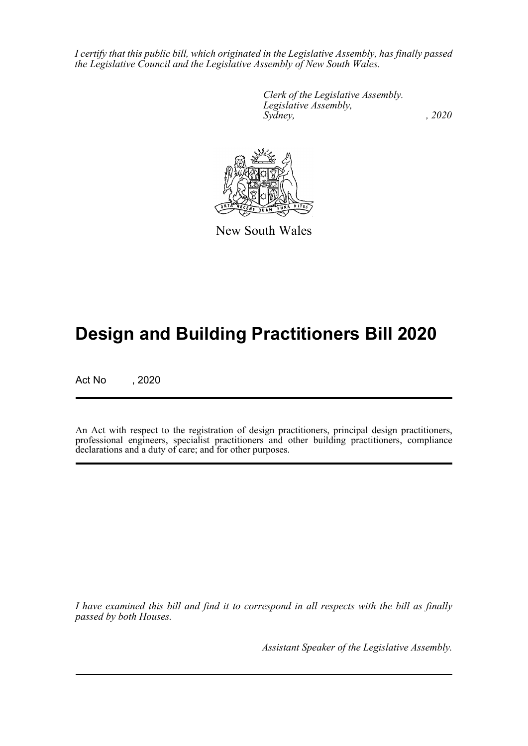*I certify that this public bill, which originated in the Legislative Assembly, has finally passed the Legislative Council and the Legislative Assembly of New South Wales.*

> *Clerk of the Legislative Assembly. Legislative Assembly, Sydney, , 2020*



New South Wales

# **Design and Building Practitioners Bill 2020**

Act No , 2020

An Act with respect to the registration of design practitioners, principal design practitioners, professional engineers, specialist practitioners and other building practitioners, compliance declarations and a duty of care; and for other purposes.

*I have examined this bill and find it to correspond in all respects with the bill as finally passed by both Houses.*

*Assistant Speaker of the Legislative Assembly.*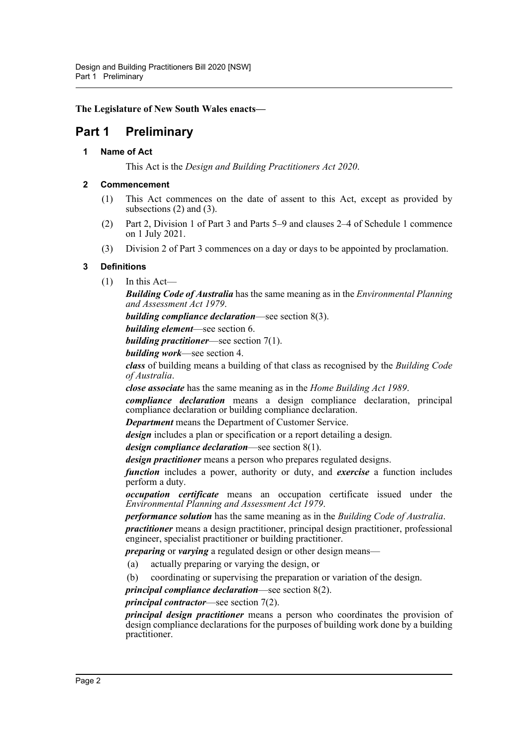**The Legislature of New South Wales enacts—**

# <span id="page-5-1"></span><span id="page-5-0"></span>**Part 1 Preliminary**

#### **1 Name of Act**

This Act is the *Design and Building Practitioners Act 2020*.

#### <span id="page-5-2"></span>**2 Commencement**

- (1) This Act commences on the date of assent to this Act, except as provided by subsections (2) and (3).
- (2) Part 2, Division 1 of Part 3 and Parts 5–9 and clauses 2–4 of Schedule 1 commence on 1 July 2021.
- (3) Division 2 of Part 3 commences on a day or days to be appointed by proclamation.

#### <span id="page-5-3"></span>**3 Definitions**

(1) In this Act—

*Building Code of Australia* has the same meaning as in the *Environmental Planning and Assessment Act 1979*.

*building compliance declaration*—see section 8(3).

*building element*—see section 6.

*building practitioner*—see section 7(1).

*building work*—see section 4.

*class* of building means a building of that class as recognised by the *Building Code of Australia*.

*close associate* has the same meaning as in the *Home Building Act 1989*.

*compliance declaration* means a design compliance declaration, principal compliance declaration or building compliance declaration.

*Department* means the Department of Customer Service.

*design* includes a plan or specification or a report detailing a design.

*design compliance declaration*—see section 8(1).

*design practitioner* means a person who prepares regulated designs.

*function* includes a power, authority or duty, and *exercise* a function includes perform a duty.

*occupation certificate* means an occupation certificate issued under the *Environmental Planning and Assessment Act 1979*.

*performance solution* has the same meaning as in the *Building Code of Australia*.

*practitioner* means a design practitioner, principal design practitioner, professional engineer, specialist practitioner or building practitioner.

*preparing* or *varying* a regulated design or other design means—

- (a) actually preparing or varying the design, or
- (b) coordinating or supervising the preparation or variation of the design.

*principal compliance declaration*—see section 8(2).

*principal contractor*—see section 7(2).

*principal design practitioner* means a person who coordinates the provision of design compliance declarations for the purposes of building work done by a building practitioner.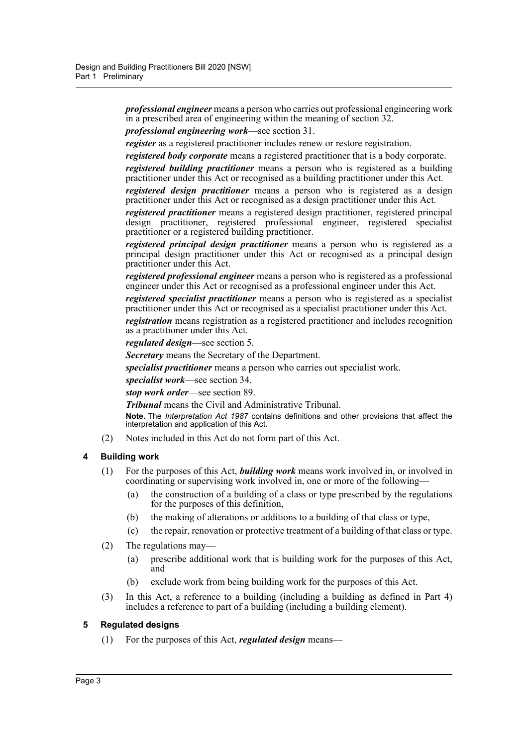*professional engineer* means a person who carries out professional engineering work in a prescribed area of engineering within the meaning of section 32.

*professional engineering work*—see section 31.

*register* as a registered practitioner includes renew or restore registration.

*registered body corporate* means a registered practitioner that is a body corporate.

*registered building practitioner* means a person who is registered as a building practitioner under this Act or recognised as a building practitioner under this Act.

*registered design practitioner* means a person who is registered as a design practitioner under this Act or recognised as a design practitioner under this Act.

*registered practitioner* means a registered design practitioner, registered principal design practitioner, registered professional engineer, registered specialist practitioner or a registered building practitioner.

*registered principal design practitioner* means a person who is registered as a principal design practitioner under this Act or recognised as a principal design practitioner under this Act.

*registered professional engineer* means a person who is registered as a professional engineer under this Act or recognised as a professional engineer under this Act.

*registered specialist practitioner* means a person who is registered as a specialist practitioner under this Act or recognised as a specialist practitioner under this Act.

*registration* means registration as a registered practitioner and includes recognition as a practitioner under this Act.

*regulated design*—see section 5.

*Secretary* means the Secretary of the Department.

*specialist practitioner* means a person who carries out specialist work.

*specialist work*—see section 34.

*stop work order*—see section 89.

*Tribunal* means the Civil and Administrative Tribunal.

**Note.** The *Interpretation Act 1987* contains definitions and other provisions that affect the interpretation and application of this Act.

(2) Notes included in this Act do not form part of this Act.

#### <span id="page-6-0"></span>**4 Building work**

- (1) For the purposes of this Act, *building work* means work involved in, or involved in coordinating or supervising work involved in, one or more of the following—
	- (a) the construction of a building of a class or type prescribed by the regulations for the purposes of this definition,
	- (b) the making of alterations or additions to a building of that class or type,
	- (c) the repair, renovation or protective treatment of a building of that class or type.
- (2) The regulations may—
	- (a) prescribe additional work that is building work for the purposes of this Act, and
	- (b) exclude work from being building work for the purposes of this Act.
- (3) In this Act, a reference to a building (including a building as defined in Part 4) includes a reference to part of a building (including a building element).

#### <span id="page-6-1"></span>**5 Regulated designs**

(1) For the purposes of this Act, *regulated design* means—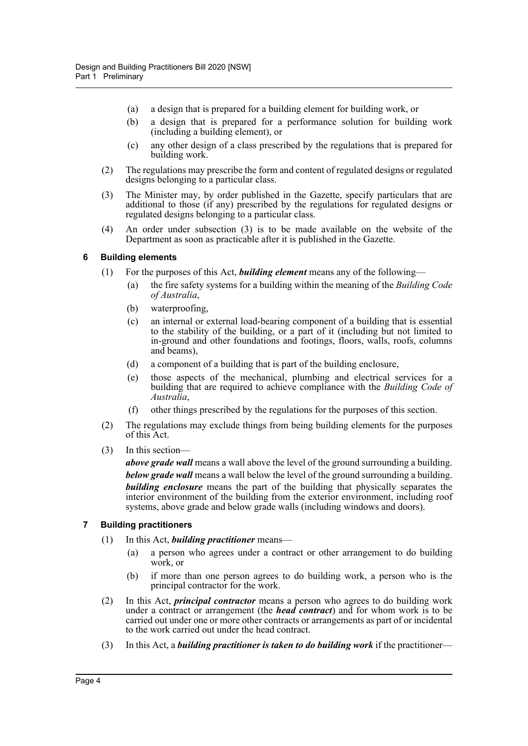- (a) a design that is prepared for a building element for building work, or
- (b) a design that is prepared for a performance solution for building work (including a building element), or
- (c) any other design of a class prescribed by the regulations that is prepared for building work.
- (2) The regulations may prescribe the form and content of regulated designs or regulated designs belonging to a particular class.
- (3) The Minister may, by order published in the Gazette, specify particulars that are additional to those (if any) prescribed by the regulations for regulated designs or regulated designs belonging to a particular class.
- (4) An order under subsection (3) is to be made available on the website of the Department as soon as practicable after it is published in the Gazette.

#### <span id="page-7-0"></span>**6 Building elements**

- (1) For the purposes of this Act, *building element* means any of the following
	- the fire safety systems for a building within the meaning of the *Building Code of Australia*,
	- (b) waterproofing,
	- (c) an internal or external load-bearing component of a building that is essential to the stability of the building, or a part of it (including but not limited to in-ground and other foundations and footings, floors, walls, roofs, columns and beams),
	- (d) a component of a building that is part of the building enclosure,
	- (e) those aspects of the mechanical, plumbing and electrical services for a building that are required to achieve compliance with the *Building Code of Australia*,
	- (f) other things prescribed by the regulations for the purposes of this section.
- (2) The regulations may exclude things from being building elements for the purposes of this Act.
- (3) In this section—

*above grade wall* means a wall above the level of the ground surrounding a building. *below grade wall* means a wall below the level of the ground surrounding a building. *building enclosure* means the part of the building that physically separates the interior environment of the building from the exterior environment, including roof systems, above grade and below grade walls (including windows and doors).

#### <span id="page-7-1"></span>**7 Building practitioners**

- (1) In this Act, *building practitioner* means—
	- (a) a person who agrees under a contract or other arrangement to do building work, or
	- (b) if more than one person agrees to do building work, a person who is the principal contractor for the work.
- (2) In this Act, *principal contractor* means a person who agrees to do building work under a contract or arrangement (the *head contract*) and for whom work is to be carried out under one or more other contracts or arrangements as part of or incidental to the work carried out under the head contract.
- (3) In this Act, a *building practitioner is taken to do building work* if the practitioner—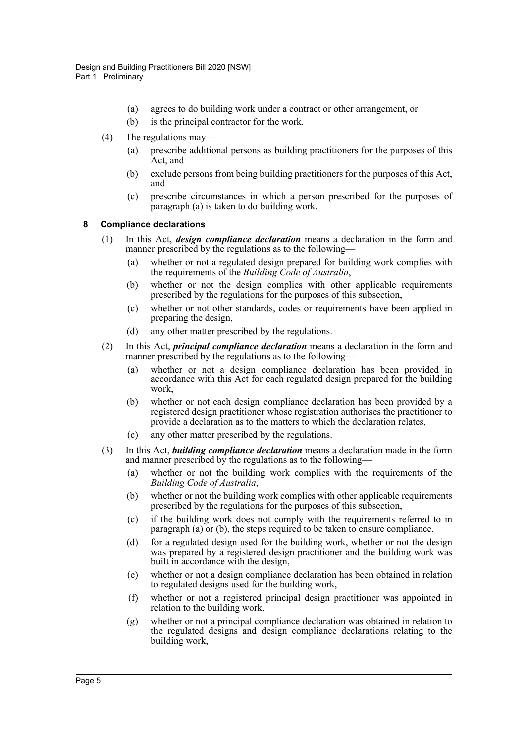- (a) agrees to do building work under a contract or other arrangement, or
- (b) is the principal contractor for the work.
- (4) The regulations may—
	- (a) prescribe additional persons as building practitioners for the purposes of this Act, and
	- (b) exclude persons from being building practitioners for the purposes of this Act, and
	- (c) prescribe circumstances in which a person prescribed for the purposes of paragraph (a) is taken to do building work.

#### <span id="page-8-0"></span>**8 Compliance declarations**

- (1) In this Act, *design compliance declaration* means a declaration in the form and manner prescribed by the regulations as to the following—
	- (a) whether or not a regulated design prepared for building work complies with the requirements of the *Building Code of Australia*,
	- (b) whether or not the design complies with other applicable requirements prescribed by the regulations for the purposes of this subsection,
	- (c) whether or not other standards, codes or requirements have been applied in preparing the design,
	- (d) any other matter prescribed by the regulations.
- (2) In this Act, *principal compliance declaration* means a declaration in the form and manner prescribed by the regulations as to the following-
	- (a) whether or not a design compliance declaration has been provided in accordance with this Act for each regulated design prepared for the building work,
	- (b) whether or not each design compliance declaration has been provided by a registered design practitioner whose registration authorises the practitioner to provide a declaration as to the matters to which the declaration relates,
	- (c) any other matter prescribed by the regulations.
- (3) In this Act, *building compliance declaration* means a declaration made in the form and manner prescribed by the regulations as to the following—
	- (a) whether or not the building work complies with the requirements of the *Building Code of Australia*,
	- (b) whether or not the building work complies with other applicable requirements prescribed by the regulations for the purposes of this subsection,
	- (c) if the building work does not comply with the requirements referred to in paragraph (a) or (b), the steps required to be taken to ensure compliance,
	- (d) for a regulated design used for the building work, whether or not the design was prepared by a registered design practitioner and the building work was built in accordance with the design,
	- (e) whether or not a design compliance declaration has been obtained in relation to regulated designs used for the building work,
	- (f) whether or not a registered principal design practitioner was appointed in relation to the building work,
	- (g) whether or not a principal compliance declaration was obtained in relation to the regulated designs and design compliance declarations relating to the building work,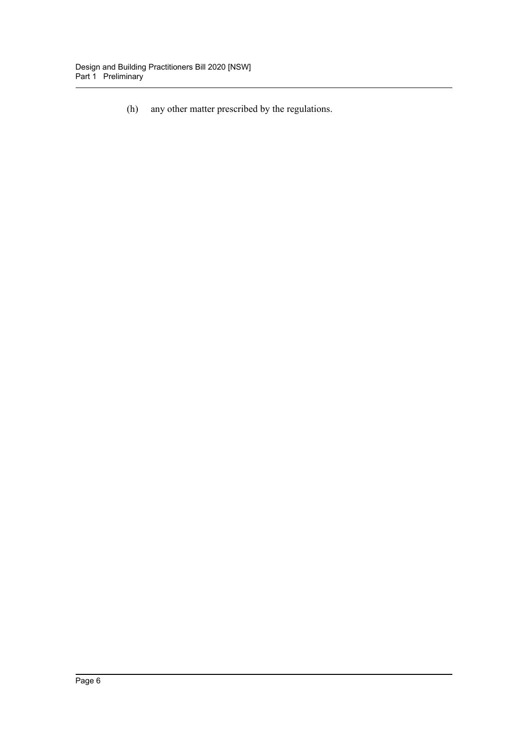(h) any other matter prescribed by the regulations.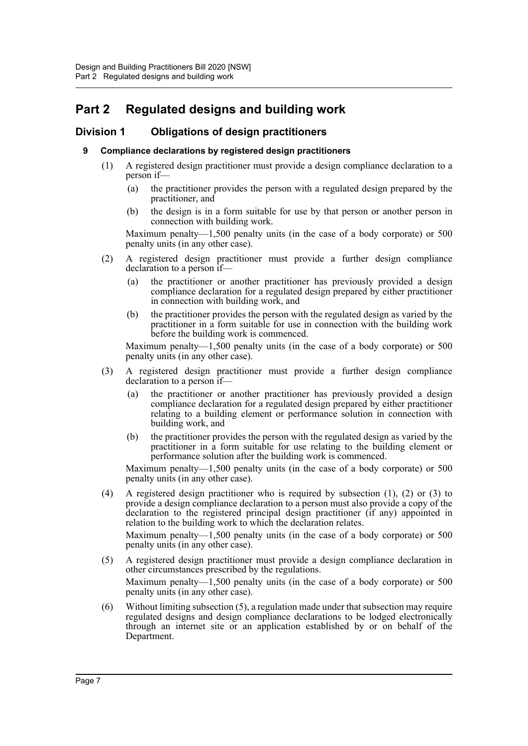# <span id="page-10-0"></span>**Part 2 Regulated designs and building work**

### <span id="page-10-2"></span><span id="page-10-1"></span>**Division 1 Obligations of design practitioners**

#### **9 Compliance declarations by registered design practitioners**

- (1) A registered design practitioner must provide a design compliance declaration to a person if—
	- (a) the practitioner provides the person with a regulated design prepared by the practitioner, and
	- (b) the design is in a form suitable for use by that person or another person in connection with building work.

Maximum penalty—1,500 penalty units (in the case of a body corporate) or 500 penalty units (in any other case).

- (2) A registered design practitioner must provide a further design compliance declaration to a person if—
	- (a) the practitioner or another practitioner has previously provided a design compliance declaration for a regulated design prepared by either practitioner in connection with building work, and
	- (b) the practitioner provides the person with the regulated design as varied by the practitioner in a form suitable for use in connection with the building work before the building work is commenced.

Maximum penalty—1,500 penalty units (in the case of a body corporate) or 500 penalty units (in any other case).

- (3) A registered design practitioner must provide a further design compliance declaration to a person if—
	- (a) the practitioner or another practitioner has previously provided a design compliance declaration for a regulated design prepared by either practitioner relating to a building element or performance solution in connection with building work, and
	- (b) the practitioner provides the person with the regulated design as varied by the practitioner in a form suitable for use relating to the building element or performance solution after the building work is commenced.

Maximum penalty—1,500 penalty units (in the case of a body corporate) or 500 penalty units (in any other case).

(4) A registered design practitioner who is required by subsection (1), (2) or (3) to provide a design compliance declaration to a person must also provide a copy of the declaration to the registered principal design practitioner (if any) appointed in relation to the building work to which the declaration relates.

Maximum penalty—1,500 penalty units (in the case of a body corporate) or 500 penalty units (in any other case).

(5) A registered design practitioner must provide a design compliance declaration in other circumstances prescribed by the regulations.

Maximum penalty—1,500 penalty units (in the case of a body corporate) or 500 penalty units (in any other case).

(6) Without limiting subsection (5), a regulation made under that subsection may require regulated designs and design compliance declarations to be lodged electronically through an internet site or an application established by or on behalf of the Department.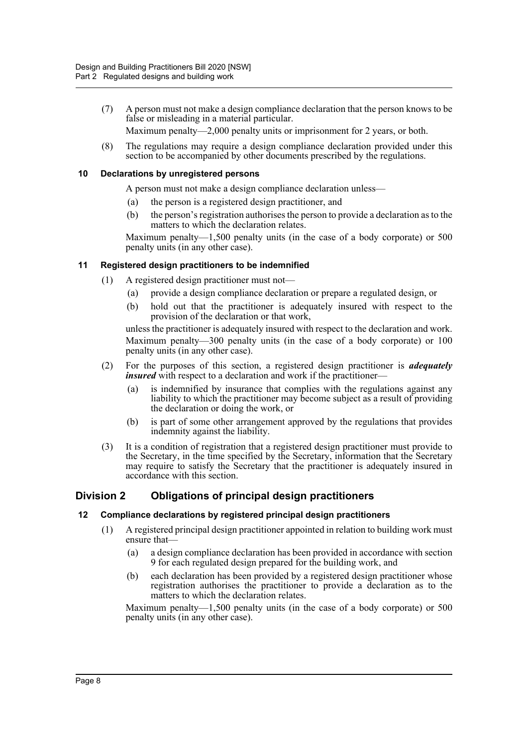(7) A person must not make a design compliance declaration that the person knows to be false or misleading in a material particular.

Maximum penalty—2,000 penalty units or imprisonment for 2 years, or both.

(8) The regulations may require a design compliance declaration provided under this section to be accompanied by other documents prescribed by the regulations.

#### <span id="page-11-0"></span>**10 Declarations by unregistered persons**

A person must not make a design compliance declaration unless—

- (a) the person is a registered design practitioner, and
- (b) the person's registration authorises the person to provide a declaration as to the matters to which the declaration relates.

Maximum penalty—1,500 penalty units (in the case of a body corporate) or 500 penalty units (in any other case).

#### <span id="page-11-1"></span>**11 Registered design practitioners to be indemnified**

- (1) A registered design practitioner must not—
	- (a) provide a design compliance declaration or prepare a regulated design, or
	- (b) hold out that the practitioner is adequately insured with respect to the provision of the declaration or that work,

unless the practitioner is adequately insured with respect to the declaration and work. Maximum penalty—300 penalty units (in the case of a body corporate) or 100 penalty units (in any other case).

- (2) For the purposes of this section, a registered design practitioner is *adequately insured* with respect to a declaration and work if the practitioner-
	- (a) is indemnified by insurance that complies with the regulations against any liability to which the practitioner may become subject as a result of providing the declaration or doing the work, or
	- (b) is part of some other arrangement approved by the regulations that provides indemnity against the liability.
- (3) It is a condition of registration that a registered design practitioner must provide to the Secretary, in the time specified by the Secretary, information that the Secretary may require to satisfy the Secretary that the practitioner is adequately insured in accordance with this section.

## <span id="page-11-2"></span>**Division 2 Obligations of principal design practitioners**

#### <span id="page-11-3"></span>**12 Compliance declarations by registered principal design practitioners**

- (1) A registered principal design practitioner appointed in relation to building work must ensure that—
	- (a) a design compliance declaration has been provided in accordance with section 9 for each regulated design prepared for the building work, and
	- (b) each declaration has been provided by a registered design practitioner whose registration authorises the practitioner to provide a declaration as to the matters to which the declaration relates.

Maximum penalty—1,500 penalty units (in the case of a body corporate) or 500 penalty units (in any other case).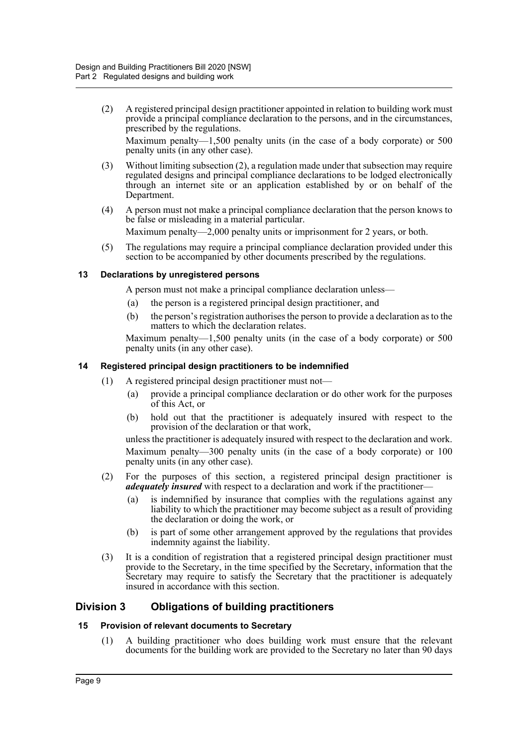(2) A registered principal design practitioner appointed in relation to building work must provide a principal compliance declaration to the persons, and in the circumstances, prescribed by the regulations.

Maximum penalty—1,500 penalty units (in the case of a body corporate) or 500 penalty units (in any other case).

- (3) Without limiting subsection (2), a regulation made under that subsection may require regulated designs and principal compliance declarations to be lodged electronically through an internet site or an application established by or on behalf of the Department.
- (4) A person must not make a principal compliance declaration that the person knows to be false or misleading in a material particular.

Maximum penalty—2,000 penalty units or imprisonment for 2 years, or both.

(5) The regulations may require a principal compliance declaration provided under this section to be accompanied by other documents prescribed by the regulations.

#### <span id="page-12-0"></span>**13 Declarations by unregistered persons**

A person must not make a principal compliance declaration unless—

- (a) the person is a registered principal design practitioner, and
- (b) the person's registration authorises the person to provide a declaration as to the matters to which the declaration relates.

Maximum penalty—1,500 penalty units (in the case of a body corporate) or 500 penalty units (in any other case).

#### <span id="page-12-1"></span>**14 Registered principal design practitioners to be indemnified**

- (1) A registered principal design practitioner must not—
	- (a) provide a principal compliance declaration or do other work for the purposes of this Act, or
	- (b) hold out that the practitioner is adequately insured with respect to the provision of the declaration or that work,

unless the practitioner is adequately insured with respect to the declaration and work. Maximum penalty—300 penalty units (in the case of a body corporate) or 100 penalty units (in any other case).

- (2) For the purposes of this section, a registered principal design practitioner is *adequately insured* with respect to a declaration and work if the practitioner-
	- (a) is indemnified by insurance that complies with the regulations against any liability to which the practitioner may become subject as a result of providing the declaration or doing the work, or
	- (b) is part of some other arrangement approved by the regulations that provides indemnity against the liability.
- (3) It is a condition of registration that a registered principal design practitioner must provide to the Secretary, in the time specified by the Secretary, information that the Secretary may require to satisfy the Secretary that the practitioner is adequately insured in accordance with this section.

#### <span id="page-12-2"></span>**Division 3 Obligations of building practitioners**

#### <span id="page-12-3"></span>**15 Provision of relevant documents to Secretary**

(1) A building practitioner who does building work must ensure that the relevant documents for the building work are provided to the Secretary no later than 90 days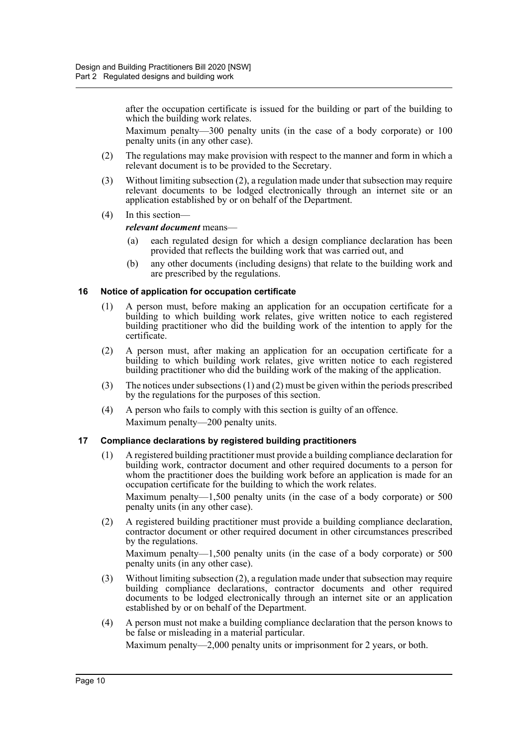after the occupation certificate is issued for the building or part of the building to which the building work relates.

Maximum penalty—300 penalty units (in the case of a body corporate) or 100 penalty units (in any other case).

- (2) The regulations may make provision with respect to the manner and form in which a relevant document is to be provided to the Secretary.
- (3) Without limiting subsection (2), a regulation made under that subsection may require relevant documents to be lodged electronically through an internet site or an application established by or on behalf of the Department.
- (4) In this section—

*relevant document* means—

- (a) each regulated design for which a design compliance declaration has been provided that reflects the building work that was carried out, and
- (b) any other documents (including designs) that relate to the building work and are prescribed by the regulations.

#### <span id="page-13-0"></span>**16 Notice of application for occupation certificate**

- (1) A person must, before making an application for an occupation certificate for a building to which building work relates, give written notice to each registered building practitioner who did the building work of the intention to apply for the certificate.
- (2) A person must, after making an application for an occupation certificate for a building to which building work relates, give written notice to each registered building practitioner who did the building work of the making of the application.
- (3) The notices under subsections (1) and (2) must be given within the periods prescribed by the regulations for the purposes of this section.
- (4) A person who fails to comply with this section is guilty of an offence. Maximum penalty—200 penalty units.

#### <span id="page-13-1"></span>**17 Compliance declarations by registered building practitioners**

(1) A registered building practitioner must provide a building compliance declaration for building work, contractor document and other required documents to a person for whom the practitioner does the building work before an application is made for an occupation certificate for the building to which the work relates.

Maximum penalty—1,500 penalty units (in the case of a body corporate) or 500 penalty units (in any other case).

(2) A registered building practitioner must provide a building compliance declaration, contractor document or other required document in other circumstances prescribed by the regulations.

Maximum penalty—1,500 penalty units (in the case of a body corporate) or 500 penalty units (in any other case).

- (3) Without limiting subsection (2), a regulation made under that subsection may require building compliance declarations, contractor documents and other required documents to be lodged electronically through an internet site or an application established by or on behalf of the Department.
- (4) A person must not make a building compliance declaration that the person knows to be false or misleading in a material particular.

Maximum penalty—2,000 penalty units or imprisonment for 2 years, or both.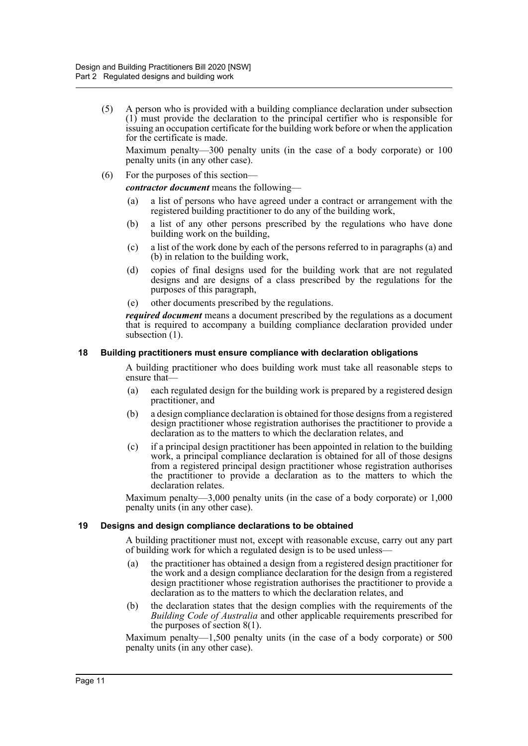(5) A person who is provided with a building compliance declaration under subsection (1) must provide the declaration to the principal certifier who is responsible for issuing an occupation certificate for the building work before or when the application for the certificate is made.

Maximum penalty—300 penalty units (in the case of a body corporate) or 100 penalty units (in any other case).

(6) For the purposes of this section—

*contractor document* means the following—

- (a) a list of persons who have agreed under a contract or arrangement with the registered building practitioner to do any of the building work,
- (b) a list of any other persons prescribed by the regulations who have done building work on the building,
- (c) a list of the work done by each of the persons referred to in paragraphs (a) and (b) in relation to the building work,
- (d) copies of final designs used for the building work that are not regulated designs and are designs of a class prescribed by the regulations for the purposes of this paragraph,
- (e) other documents prescribed by the regulations.

*required document* means a document prescribed by the regulations as a document that is required to accompany a building compliance declaration provided under subsection  $(1)$ .

#### <span id="page-14-0"></span>**18 Building practitioners must ensure compliance with declaration obligations**

A building practitioner who does building work must take all reasonable steps to ensure that—

- (a) each regulated design for the building work is prepared by a registered design practitioner, and
- (b) a design compliance declaration is obtained for those designs from a registered design practitioner whose registration authorises the practitioner to provide a declaration as to the matters to which the declaration relates, and
- (c) if a principal design practitioner has been appointed in relation to the building work, a principal compliance declaration is obtained for all of those designs from a registered principal design practitioner whose registration authorises the practitioner to provide a declaration as to the matters to which the declaration relates.

Maximum penalty—3,000 penalty units (in the case of a body corporate) or 1,000 penalty units (in any other case).

#### <span id="page-14-1"></span>**19 Designs and design compliance declarations to be obtained**

A building practitioner must not, except with reasonable excuse, carry out any part of building work for which a regulated design is to be used unless—

- (a) the practitioner has obtained a design from a registered design practitioner for the work and a design compliance declaration for the design from a registered design practitioner whose registration authorises the practitioner to provide a declaration as to the matters to which the declaration relates, and
- (b) the declaration states that the design complies with the requirements of the *Building Code of Australia* and other applicable requirements prescribed for the purposes of section 8(1).

Maximum penalty—1,500 penalty units (in the case of a body corporate) or 500 penalty units (in any other case).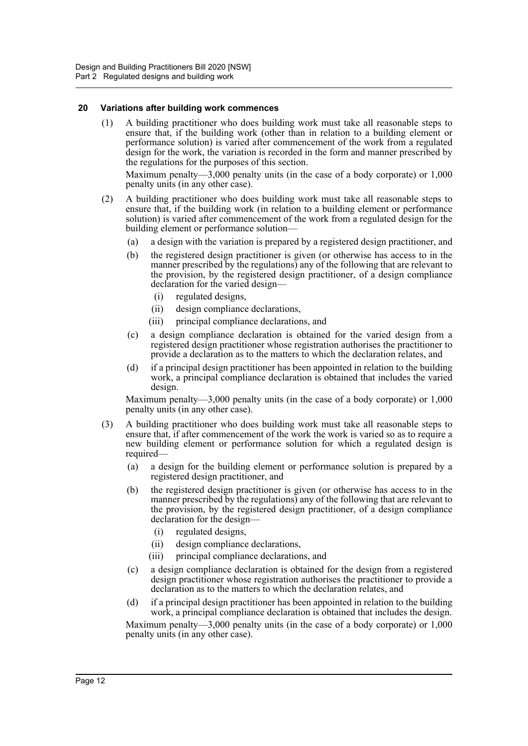#### <span id="page-15-0"></span>**20 Variations after building work commences**

(1) A building practitioner who does building work must take all reasonable steps to ensure that, if the building work (other than in relation to a building element or performance solution) is varied after commencement of the work from a regulated design for the work, the variation is recorded in the form and manner prescribed by the regulations for the purposes of this section.

Maximum penalty—3,000 penalty units (in the case of a body corporate) or 1,000 penalty units (in any other case).

- (2) A building practitioner who does building work must take all reasonable steps to ensure that, if the building work (in relation to a building element or performance solution) is varied after commencement of the work from a regulated design for the building element or performance solution—
	- (a) a design with the variation is prepared by a registered design practitioner, and
	- (b) the registered design practitioner is given (or otherwise has access to in the manner prescribed by the regulations) any of the following that are relevant to the provision, by the registered design practitioner, of a design compliance declaration for the varied design—
		- (i) regulated designs,
		- (ii) design compliance declarations,
		- (iii) principal compliance declarations, and
	- (c) a design compliance declaration is obtained for the varied design from a registered design practitioner whose registration authorises the practitioner to provide a declaration as to the matters to which the declaration relates, and
	- (d) if a principal design practitioner has been appointed in relation to the building work, a principal compliance declaration is obtained that includes the varied design.

Maximum penalty—3,000 penalty units (in the case of a body corporate) or 1,000 penalty units (in any other case).

- (3) A building practitioner who does building work must take all reasonable steps to ensure that, if after commencement of the work the work is varied so as to require a new building element or performance solution for which a regulated design is required—
	- (a) a design for the building element or performance solution is prepared by a registered design practitioner, and
	- (b) the registered design practitioner is given (or otherwise has access to in the manner prescribed by the regulations) any of the following that are relevant to the provision, by the registered design practitioner, of a design compliance declaration for the design—
		- (i) regulated designs,
		- (ii) design compliance declarations,
		- (iii) principal compliance declarations, and
	- (c) a design compliance declaration is obtained for the design from a registered design practitioner whose registration authorises the practitioner to provide a declaration as to the matters to which the declaration relates, and
	- (d) if a principal design practitioner has been appointed in relation to the building work, a principal compliance declaration is obtained that includes the design.

Maximum penalty—3,000 penalty units (in the case of a body corporate) or 1,000 penalty units (in any other case).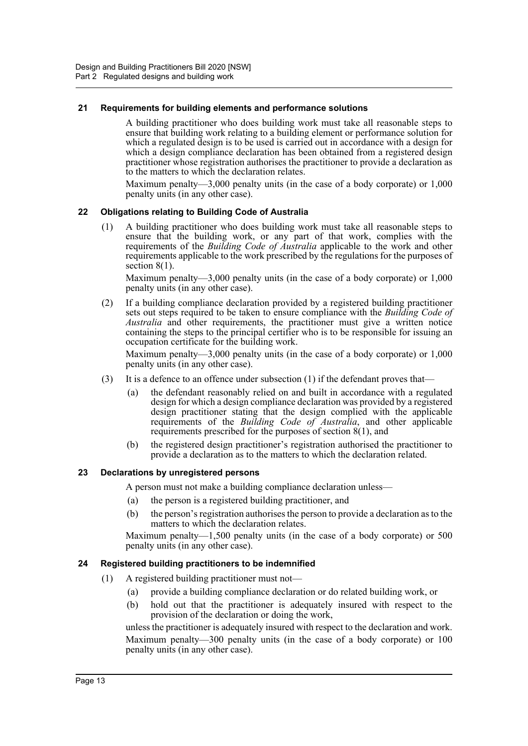#### <span id="page-16-0"></span>**21 Requirements for building elements and performance solutions**

A building practitioner who does building work must take all reasonable steps to ensure that building work relating to a building element or performance solution for which a regulated design is to be used is carried out in accordance with a design for which a design compliance declaration has been obtained from a registered design practitioner whose registration authorises the practitioner to provide a declaration as to the matters to which the declaration relates.

Maximum penalty—3,000 penalty units (in the case of a body corporate) or 1,000 penalty units (in any other case).

#### <span id="page-16-1"></span>**22 Obligations relating to Building Code of Australia**

(1) A building practitioner who does building work must take all reasonable steps to ensure that the building work, or any part of that work, complies with the requirements of the *Building Code of Australia* applicable to the work and other requirements applicable to the work prescribed by the regulations for the purposes of section  $8(1)$ .

Maximum penalty—3,000 penalty units (in the case of a body corporate) or 1,000 penalty units (in any other case).

(2) If a building compliance declaration provided by a registered building practitioner sets out steps required to be taken to ensure compliance with the *Building Code of Australia* and other requirements, the practitioner must give a written notice containing the steps to the principal certifier who is to be responsible for issuing an occupation certificate for the building work.

Maximum penalty—3,000 penalty units (in the case of a body corporate) or 1,000 penalty units (in any other case).

- (3) It is a defence to an offence under subsection  $(1)$  if the defendant proves that—
	- (a) the defendant reasonably relied on and built in accordance with a regulated design for which a design compliance declaration was provided by a registered design practitioner stating that the design complied with the applicable requirements of the *Building Code of Australia*, and other applicable requirements prescribed for the purposes of section 8(1), and
	- (b) the registered design practitioner's registration authorised the practitioner to provide a declaration as to the matters to which the declaration related.

#### <span id="page-16-2"></span>**23 Declarations by unregistered persons**

A person must not make a building compliance declaration unless—

- (a) the person is a registered building practitioner, and
- (b) the person's registration authorises the person to provide a declaration as to the matters to which the declaration relates.

Maximum penalty—1,500 penalty units (in the case of a body corporate) or 500 penalty units (in any other case).

#### <span id="page-16-3"></span>**24 Registered building practitioners to be indemnified**

- (1) A registered building practitioner must not—
	- (a) provide a building compliance declaration or do related building work, or
	- (b) hold out that the practitioner is adequately insured with respect to the provision of the declaration or doing the work,

unless the practitioner is adequately insured with respect to the declaration and work. Maximum penalty—300 penalty units (in the case of a body corporate) or 100 penalty units (in any other case).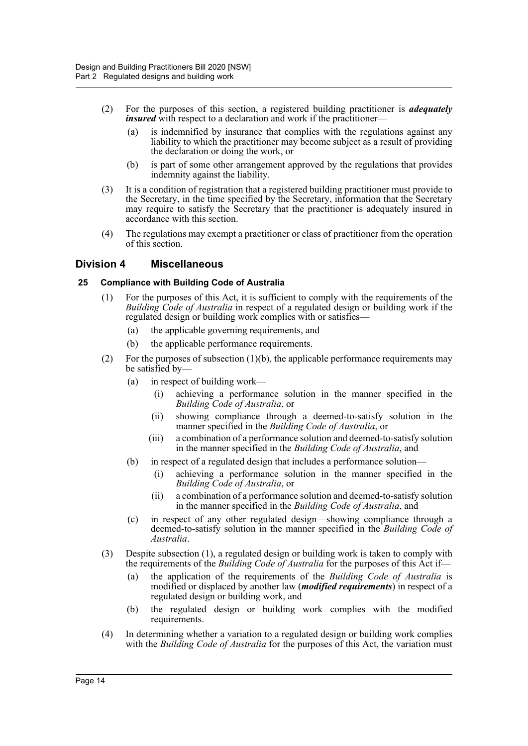- (2) For the purposes of this section, a registered building practitioner is *adequately insured* with respect to a declaration and work if the practitioner-
	- (a) is indemnified by insurance that complies with the regulations against any liability to which the practitioner may become subject as a result of providing the declaration or doing the work, or
	- (b) is part of some other arrangement approved by the regulations that provides indemnity against the liability.
- (3) It is a condition of registration that a registered building practitioner must provide to the Secretary, in the time specified by the Secretary, information that the Secretary may require to satisfy the Secretary that the practitioner is adequately insured in accordance with this section.
- (4) The regulations may exempt a practitioner or class of practitioner from the operation of this section.

### <span id="page-17-0"></span>**Division 4 Miscellaneous**

#### <span id="page-17-1"></span>**25 Compliance with Building Code of Australia**

- (1) For the purposes of this Act, it is sufficient to comply with the requirements of the *Building Code of Australia* in respect of a regulated design or building work if the regulated design or building work complies with or satisfies—
	- (a) the applicable governing requirements, and
	- (b) the applicable performance requirements.
- (2) For the purposes of subsection (1)(b), the applicable performance requirements may be satisfied by—
	- (a) in respect of building work—
		- (i) achieving a performance solution in the manner specified in the *Building Code of Australia*, or
		- (ii) showing compliance through a deemed-to-satisfy solution in the manner specified in the *Building Code of Australia*, or
		- (iii) a combination of a performance solution and deemed-to-satisfy solution in the manner specified in the *Building Code of Australia*, and
	- (b) in respect of a regulated design that includes a performance solution—
		- (i) achieving a performance solution in the manner specified in the *Building Code of Australia*, or
		- (ii) a combination of a performance solution and deemed-to-satisfy solution in the manner specified in the *Building Code of Australia*, and
	- (c) in respect of any other regulated design—showing compliance through a deemed-to-satisfy solution in the manner specified in the *Building Code of Australia*.
- (3) Despite subsection (1), a regulated design or building work is taken to comply with the requirements of the *Building Code of Australia* for the purposes of this Act if—
	- (a) the application of the requirements of the *Building Code of Australia* is modified or displaced by another law (*modified requirements*) in respect of a regulated design or building work, and
	- (b) the regulated design or building work complies with the modified requirements.
- (4) In determining whether a variation to a regulated design or building work complies with the *Building Code of Australia* for the purposes of this Act, the variation must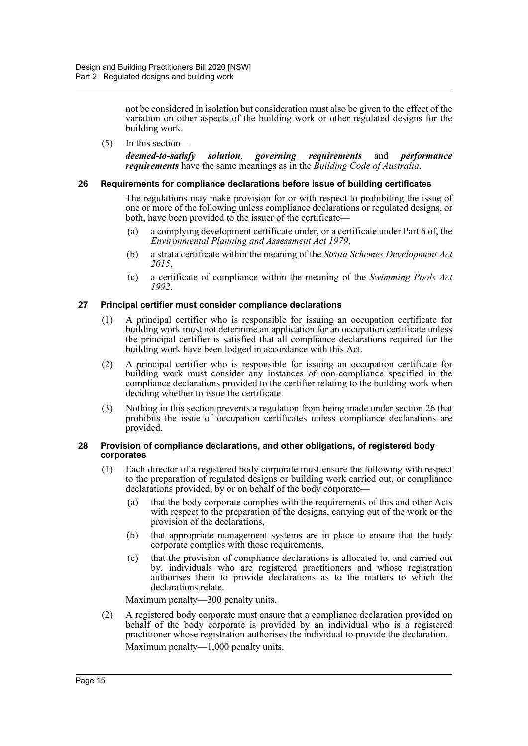not be considered in isolation but consideration must also be given to the effect of the variation on other aspects of the building work or other regulated designs for the building work.

(5) In this section—

*deemed-to-satisfy solution*, *governing requirements* and *performance requirements* have the same meanings as in the *Building Code of Australia*.

#### <span id="page-18-0"></span>**26 Requirements for compliance declarations before issue of building certificates**

The regulations may make provision for or with respect to prohibiting the issue of one or more of the following unless compliance declarations or regulated designs, or both, have been provided to the issuer of the certificate—

- (a) a complying development certificate under, or a certificate under Part 6 of, the *Environmental Planning and Assessment Act 1979*,
- (b) a strata certificate within the meaning of the *Strata Schemes Development Act 2015*,
- (c) a certificate of compliance within the meaning of the *Swimming Pools Act 1992*.

#### <span id="page-18-1"></span>**27 Principal certifier must consider compliance declarations**

- (1) A principal certifier who is responsible for issuing an occupation certificate for building work must not determine an application for an occupation certificate unless the principal certifier is satisfied that all compliance declarations required for the building work have been lodged in accordance with this Act.
- (2) A principal certifier who is responsible for issuing an occupation certificate for building work must consider any instances of non-compliance specified in the compliance declarations provided to the certifier relating to the building work when deciding whether to issue the certificate.
- (3) Nothing in this section prevents a regulation from being made under section 26 that prohibits the issue of occupation certificates unless compliance declarations are provided.

#### <span id="page-18-2"></span>**28 Provision of compliance declarations, and other obligations, of registered body corporates**

- (1) Each director of a registered body corporate must ensure the following with respect to the preparation of regulated designs or building work carried out, or compliance declarations provided, by or on behalf of the body corporate—
	- (a) that the body corporate complies with the requirements of this and other Acts with respect to the preparation of the designs, carrying out of the work or the provision of the declarations,
	- (b) that appropriate management systems are in place to ensure that the body corporate complies with those requirements,
	- (c) that the provision of compliance declarations is allocated to, and carried out by, individuals who are registered practitioners and whose registration authorises them to provide declarations as to the matters to which the declarations relate.

Maximum penalty—300 penalty units.

(2) A registered body corporate must ensure that a compliance declaration provided on behalf of the body corporate is provided by an individual who is a registered practitioner whose registration authorises the individual to provide the declaration. Maximum penalty—1,000 penalty units.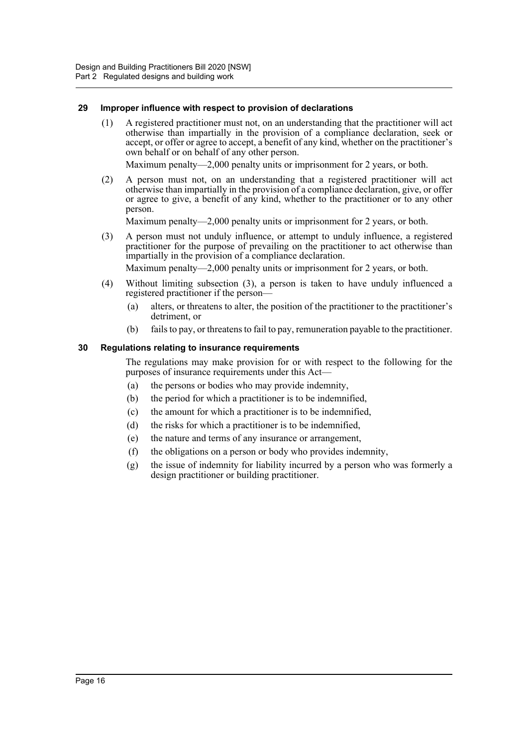#### <span id="page-19-0"></span>**29 Improper influence with respect to provision of declarations**

(1) A registered practitioner must not, on an understanding that the practitioner will act otherwise than impartially in the provision of a compliance declaration, seek or accept, or offer or agree to accept, a benefit of any kind, whether on the practitioner's own behalf or on behalf of any other person.

Maximum penalty—2,000 penalty units or imprisonment for 2 years, or both.

(2) A person must not, on an understanding that a registered practitioner will act otherwise than impartially in the provision of a compliance declaration, give, or offer or agree to give, a benefit of any kind, whether to the practitioner or to any other person.

Maximum penalty—2,000 penalty units or imprisonment for 2 years, or both.

(3) A person must not unduly influence, or attempt to unduly influence, a registered practitioner for the purpose of prevailing on the practitioner to act otherwise than impartially in the provision of a compliance declaration.

Maximum penalty—2,000 penalty units or imprisonment for 2 years, or both.

- (4) Without limiting subsection (3), a person is taken to have unduly influenced a registered practitioner if the person—
	- (a) alters, or threatens to alter, the position of the practitioner to the practitioner's detriment, or
	- (b) fails to pay, or threatens to fail to pay, remuneration payable to the practitioner.

#### <span id="page-19-1"></span>**30 Regulations relating to insurance requirements**

The regulations may make provision for or with respect to the following for the purposes of insurance requirements under this Act—

- (a) the persons or bodies who may provide indemnity,
- (b) the period for which a practitioner is to be indemnified,
- (c) the amount for which a practitioner is to be indemnified,
- (d) the risks for which a practitioner is to be indemnified,
- (e) the nature and terms of any insurance or arrangement,
- (f) the obligations on a person or body who provides indemnity,
- (g) the issue of indemnity for liability incurred by a person who was formerly a design practitioner or building practitioner.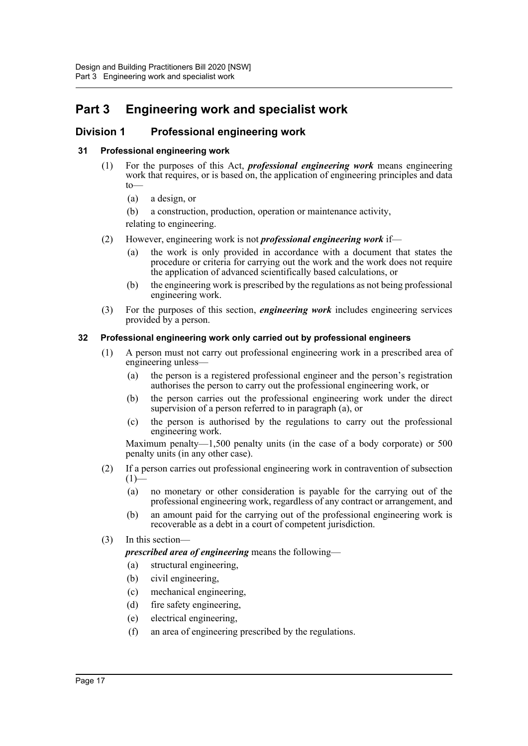# <span id="page-20-0"></span>**Part 3 Engineering work and specialist work**

# <span id="page-20-1"></span>**Division 1 Professional engineering work**

#### <span id="page-20-2"></span>**31 Professional engineering work**

- (1) For the purposes of this Act, *professional engineering work* means engineering work that requires, or is based on, the application of engineering principles and data to—
	- (a) a design, or
	- (b) a construction, production, operation or maintenance activity,

relating to engineering.

- (2) However, engineering work is not *professional engineering work* if—
	- (a) the work is only provided in accordance with a document that states the procedure or criteria for carrying out the work and the work does not require the application of advanced scientifically based calculations, or
	- (b) the engineering work is prescribed by the regulations as not being professional engineering work.
- (3) For the purposes of this section, *engineering work* includes engineering services provided by a person.

#### <span id="page-20-3"></span>**32 Professional engineering work only carried out by professional engineers**

- (1) A person must not carry out professional engineering work in a prescribed area of engineering unless—
	- (a) the person is a registered professional engineer and the person's registration authorises the person to carry out the professional engineering work, or
	- (b) the person carries out the professional engineering work under the direct supervision of a person referred to in paragraph (a), or
	- (c) the person is authorised by the regulations to carry out the professional engineering work.

Maximum penalty—1,500 penalty units (in the case of a body corporate) or 500 penalty units (in any other case).

- (2) If a person carries out professional engineering work in contravention of subsection  $(1)$ —
	- (a) no monetary or other consideration is payable for the carrying out of the professional engineering work, regardless of any contract or arrangement, and
	- (b) an amount paid for the carrying out of the professional engineering work is recoverable as a debt in a court of competent jurisdiction.
- (3) In this section—

*prescribed area of engineering* means the following—

- (a) structural engineering,
- (b) civil engineering,
- (c) mechanical engineering,
- (d) fire safety engineering,
- (e) electrical engineering,
- (f) an area of engineering prescribed by the regulations.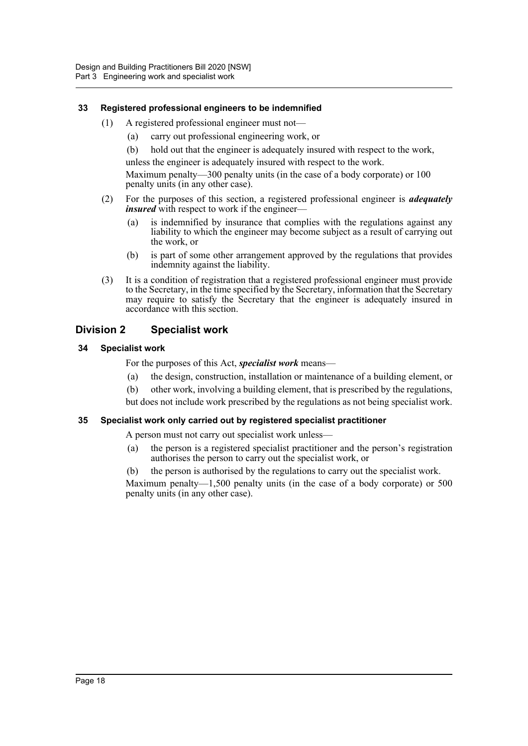#### <span id="page-21-0"></span>**33 Registered professional engineers to be indemnified**

- (1) A registered professional engineer must not—
	- (a) carry out professional engineering work, or
	- (b) hold out that the engineer is adequately insured with respect to the work,

unless the engineer is adequately insured with respect to the work.

Maximum penalty—300 penalty units (in the case of a body corporate) or 100 penalty units (in any other case).

- (2) For the purposes of this section, a registered professional engineer is *adequately insured* with respect to work if the engineer-
	- (a) is indemnified by insurance that complies with the regulations against any liability to which the engineer may become subject as a result of carrying out the work, or
	- (b) is part of some other arrangement approved by the regulations that provides indemnity against the liability.
- (3) It is a condition of registration that a registered professional engineer must provide to the Secretary, in the time specified by the Secretary, information that the Secretary may require to satisfy the Secretary that the engineer is adequately insured in accordance with this section.

# <span id="page-21-1"></span>**Division 2 Specialist work**

#### <span id="page-21-2"></span>**34 Specialist work**

For the purposes of this Act, *specialist work* means—

- (a) the design, construction, installation or maintenance of a building element, or
- (b) other work, involving a building element, that is prescribed by the regulations,
- but does not include work prescribed by the regulations as not being specialist work.

#### <span id="page-21-3"></span>**35 Specialist work only carried out by registered specialist practitioner**

A person must not carry out specialist work unless—

- (a) the person is a registered specialist practitioner and the person's registration authorises the person to carry out the specialist work, or
- (b) the person is authorised by the regulations to carry out the specialist work.

Maximum penalty—1,500 penalty units (in the case of a body corporate) or 500 penalty units (in any other case).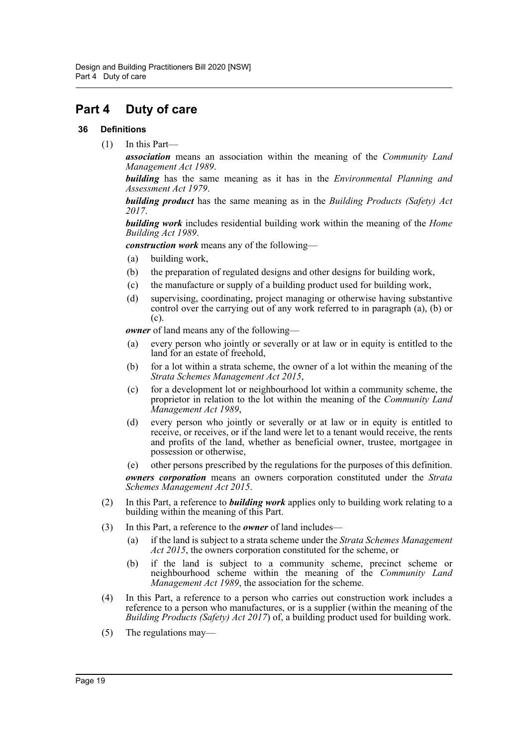# <span id="page-22-0"></span>**Part 4 Duty of care**

#### <span id="page-22-1"></span>**36 Definitions**

(1) In this Part—

*association* means an association within the meaning of the *Community Land Management Act 1989*.

*building* has the same meaning as it has in the *Environmental Planning and Assessment Act 1979*.

*building product* has the same meaning as in the *Building Products (Safety) Act 2017*.

*building work* includes residential building work within the meaning of the *Home Building Act 1989*.

*construction work* means any of the following—

- (a) building work,
- (b) the preparation of regulated designs and other designs for building work,
- (c) the manufacture or supply of a building product used for building work,
- (d) supervising, coordinating, project managing or otherwise having substantive control over the carrying out of any work referred to in paragraph (a), (b) or (c).

*owner* of land means any of the following—

- (a) every person who jointly or severally or at law or in equity is entitled to the land for an estate of freehold,
- (b) for a lot within a strata scheme, the owner of a lot within the meaning of the *Strata Schemes Management Act 2015*,
- (c) for a development lot or neighbourhood lot within a community scheme, the proprietor in relation to the lot within the meaning of the *Community Land Management Act 1989*,
- (d) every person who jointly or severally or at law or in equity is entitled to receive, or receives, or if the land were let to a tenant would receive, the rents and profits of the land, whether as beneficial owner, trustee, mortgagee in possession or otherwise,

(e) other persons prescribed by the regulations for the purposes of this definition. *owners corporation* means an owners corporation constituted under the *Strata Schemes Management Act 2015*.

- (2) In this Part, a reference to *building work* applies only to building work relating to a building within the meaning of this Part.
- (3) In this Part, a reference to the *owner* of land includes—
	- (a) if the land is subject to a strata scheme under the *Strata Schemes Management Act 2015*, the owners corporation constituted for the scheme, or
	- (b) if the land is subject to a community scheme, precinct scheme or neighbourhood scheme within the meaning of the *Community Land Management Act 1989*, the association for the scheme.
- (4) In this Part, a reference to a person who carries out construction work includes a reference to a person who manufactures, or is a supplier (within the meaning of the *Building Products (Safety) Act 2017*) of, a building product used for building work.
- (5) The regulations may—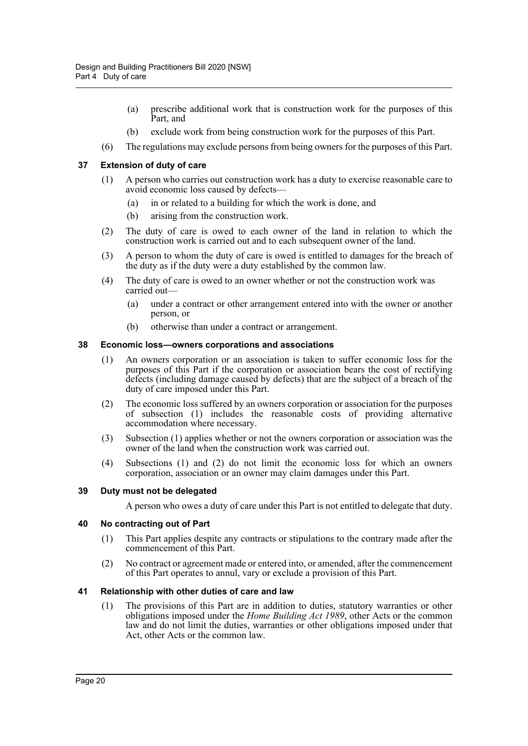- (a) prescribe additional work that is construction work for the purposes of this Part, and
- (b) exclude work from being construction work for the purposes of this Part.
- (6) The regulations may exclude persons from being owners for the purposes of this Part.

#### <span id="page-23-0"></span>**37 Extension of duty of care**

- (1) A person who carries out construction work has a duty to exercise reasonable care to avoid economic loss caused by defects—
	- (a) in or related to a building for which the work is done, and
	- (b) arising from the construction work.
- (2) The duty of care is owed to each owner of the land in relation to which the construction work is carried out and to each subsequent owner of the land.
- (3) A person to whom the duty of care is owed is entitled to damages for the breach of the duty as if the duty were a duty established by the common law.
- (4) The duty of care is owed to an owner whether or not the construction work was carried out—
	- (a) under a contract or other arrangement entered into with the owner or another person, or
	- (b) otherwise than under a contract or arrangement.

#### <span id="page-23-1"></span>**38 Economic loss—owners corporations and associations**

- (1) An owners corporation or an association is taken to suffer economic loss for the purposes of this Part if the corporation or association bears the cost of rectifying defects (including damage caused by defects) that are the subject of a breach of the duty of care imposed under this Part.
- (2) The economic loss suffered by an owners corporation or association for the purposes of subsection (1) includes the reasonable costs of providing alternative accommodation where necessary.
- (3) Subsection (1) applies whether or not the owners corporation or association was the owner of the land when the construction work was carried out.
- (4) Subsections (1) and (2) do not limit the economic loss for which an owners corporation, association or an owner may claim damages under this Part.

#### <span id="page-23-2"></span>**39 Duty must not be delegated**

A person who owes a duty of care under this Part is not entitled to delegate that duty.

#### <span id="page-23-3"></span>**40 No contracting out of Part**

- (1) This Part applies despite any contracts or stipulations to the contrary made after the commencement of this Part.
- (2) No contract or agreement made or entered into, or amended, after the commencement of this Part operates to annul, vary or exclude a provision of this Part.

#### <span id="page-23-4"></span>**41 Relationship with other duties of care and law**

(1) The provisions of this Part are in addition to duties, statutory warranties or other obligations imposed under the *Home Building Act 1989*, other Acts or the common law and do not limit the duties, warranties or other obligations imposed under that Act, other Acts or the common law.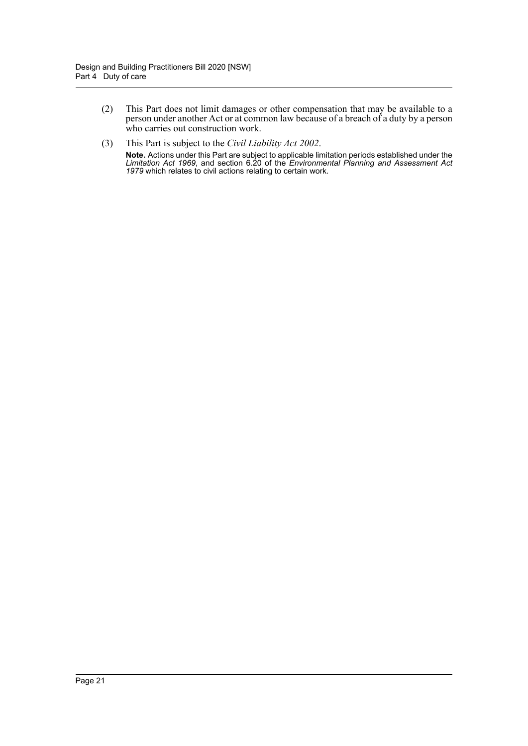- (2) This Part does not limit damages or other compensation that may be available to a person under another Act or at common law because of a breach of a duty by a person who carries out construction work.
- (3) This Part is subject to the *Civil Liability Act 2002*. **Note.** Actions under this Part are subject to applicable limitation periods established under the *Limitation Act 1969*, and section 6.20 of the *Environmental Planning and Assessment Act 1979* which relates to civil actions relating to certain work.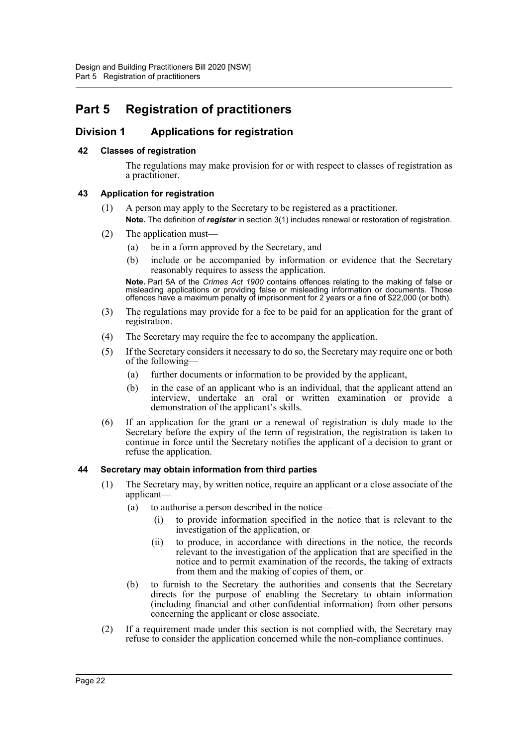# <span id="page-25-0"></span>**Part 5 Registration of practitioners**

# <span id="page-25-1"></span>**Division 1 Applications for registration**

#### <span id="page-25-2"></span>**42 Classes of registration**

The regulations may make provision for or with respect to classes of registration as a practitioner.

#### <span id="page-25-3"></span>**43 Application for registration**

- (1) A person may apply to the Secretary to be registered as a practitioner. **Note.** The definition of *register* in section 3(1) includes renewal or restoration of registration.
- (2) The application must—
	- (a) be in a form approved by the Secretary, and
	- (b) include or be accompanied by information or evidence that the Secretary reasonably requires to assess the application.

**Note.** Part 5A of the *Crimes Act 1900* contains offences relating to the making of false or misleading applications or providing false or misleading information or documents. Those offences have a maximum penalty of imprisonment for 2 years or a fine of \$22,000 (or both).

- (3) The regulations may provide for a fee to be paid for an application for the grant of registration.
- (4) The Secretary may require the fee to accompany the application.
- (5) If the Secretary considers it necessary to do so, the Secretary may require one or both of the following—
	- (a) further documents or information to be provided by the applicant,
	- (b) in the case of an applicant who is an individual, that the applicant attend an interview, undertake an oral or written examination or provide a demonstration of the applicant's skills.
- (6) If an application for the grant or a renewal of registration is duly made to the Secretary before the expiry of the term of registration, the registration is taken to continue in force until the Secretary notifies the applicant of a decision to grant or refuse the application.

#### <span id="page-25-4"></span>**44 Secretary may obtain information from third parties**

- (1) The Secretary may, by written notice, require an applicant or a close associate of the applicant—
	- (a) to authorise a person described in the notice—
		- (i) to provide information specified in the notice that is relevant to the investigation of the application, or
		- (ii) to produce, in accordance with directions in the notice, the records relevant to the investigation of the application that are specified in the notice and to permit examination of the records, the taking of extracts from them and the making of copies of them, or
	- (b) to furnish to the Secretary the authorities and consents that the Secretary directs for the purpose of enabling the Secretary to obtain information (including financial and other confidential information) from other persons concerning the applicant or close associate.
- (2) If a requirement made under this section is not complied with, the Secretary may refuse to consider the application concerned while the non-compliance continues.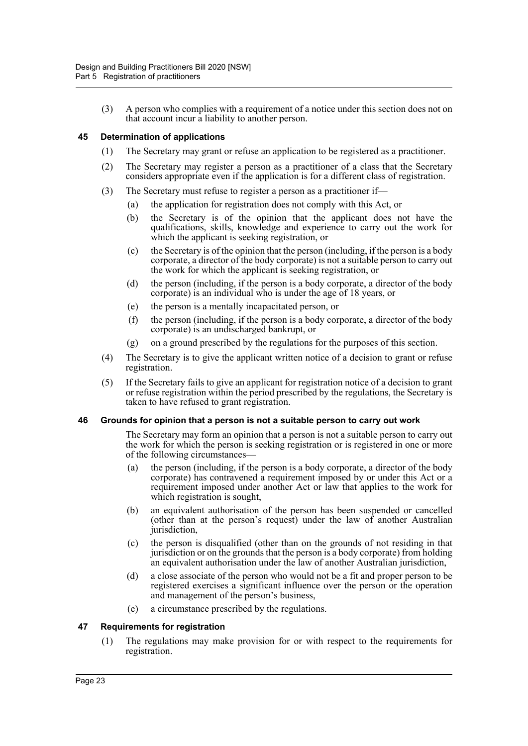(3) A person who complies with a requirement of a notice under this section does not on that account incur a liability to another person.

#### <span id="page-26-0"></span>**45 Determination of applications**

- (1) The Secretary may grant or refuse an application to be registered as a practitioner.
- (2) The Secretary may register a person as a practitioner of a class that the Secretary considers appropriate even if the application is for a different class of registration.
- (3) The Secretary must refuse to register a person as a practitioner if—
	- (a) the application for registration does not comply with this Act, or
	- (b) the Secretary is of the opinion that the applicant does not have the qualifications, skills, knowledge and experience to carry out the work for which the applicant is seeking registration, or
	- (c) the Secretary is of the opinion that the person (including, if the person is a body corporate, a director of the body corporate) is not a suitable person to carry out the work for which the applicant is seeking registration, or
	- (d) the person (including, if the person is a body corporate, a director of the body corporate) is an individual who is under the age of 18 years, or
	- (e) the person is a mentally incapacitated person, or
	- (f) the person (including, if the person is a body corporate, a director of the body corporate) is an undischarged bankrupt, or
	- (g) on a ground prescribed by the regulations for the purposes of this section.
- (4) The Secretary is to give the applicant written notice of a decision to grant or refuse registration.
- (5) If the Secretary fails to give an applicant for registration notice of a decision to grant or refuse registration within the period prescribed by the regulations, the Secretary is taken to have refused to grant registration.

#### <span id="page-26-1"></span>**46 Grounds for opinion that a person is not a suitable person to carry out work**

The Secretary may form an opinion that a person is not a suitable person to carry out the work for which the person is seeking registration or is registered in one or more of the following circumstances—

- (a) the person (including, if the person is a body corporate, a director of the body corporate) has contravened a requirement imposed by or under this Act or a requirement imposed under another Act or law that applies to the work for which registration is sought,
- (b) an equivalent authorisation of the person has been suspended or cancelled (other than at the person's request) under the law of another Australian jurisdiction,
- (c) the person is disqualified (other than on the grounds of not residing in that jurisdiction or on the grounds that the person is a body corporate) from holding an equivalent authorisation under the law of another Australian jurisdiction,
- (d) a close associate of the person who would not be a fit and proper person to be registered exercises a significant influence over the person or the operation and management of the person's business,
- (e) a circumstance prescribed by the regulations.

#### <span id="page-26-2"></span>**47 Requirements for registration**

(1) The regulations may make provision for or with respect to the requirements for registration.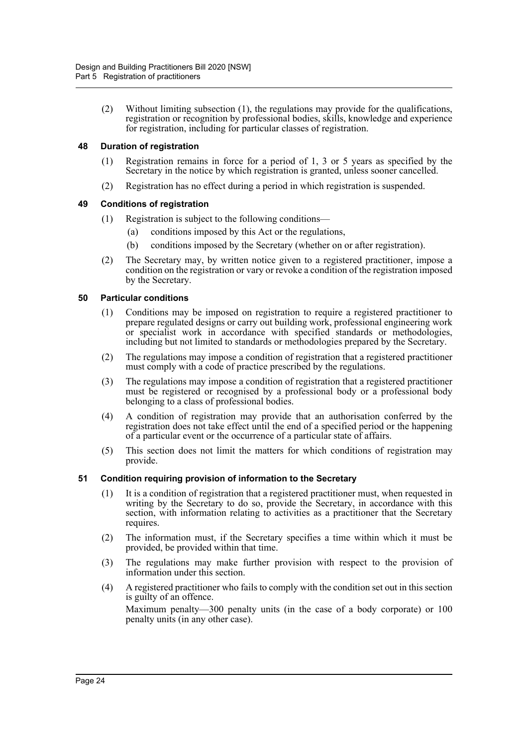(2) Without limiting subsection (1), the regulations may provide for the qualifications, registration or recognition by professional bodies, skills, knowledge and experience for registration, including for particular classes of registration.

#### <span id="page-27-0"></span>**48 Duration of registration**

- (1) Registration remains in force for a period of 1, 3 or 5 years as specified by the Secretary in the notice by which registration is granted, unless sooner cancelled.
- (2) Registration has no effect during a period in which registration is suspended.

#### <span id="page-27-1"></span>**49 Conditions of registration**

- (1) Registration is subject to the following conditions—
	- (a) conditions imposed by this Act or the regulations,
	- (b) conditions imposed by the Secretary (whether on or after registration).
- (2) The Secretary may, by written notice given to a registered practitioner, impose a condition on the registration or vary or revoke a condition of the registration imposed by the Secretary.

#### <span id="page-27-2"></span>**50 Particular conditions**

- (1) Conditions may be imposed on registration to require a registered practitioner to prepare regulated designs or carry out building work, professional engineering work or specialist work in accordance with specified standards or methodologies, including but not limited to standards or methodologies prepared by the Secretary.
- (2) The regulations may impose a condition of registration that a registered practitioner must comply with a code of practice prescribed by the regulations.
- (3) The regulations may impose a condition of registration that a registered practitioner must be registered or recognised by a professional body or a professional body belonging to a class of professional bodies.
- (4) A condition of registration may provide that an authorisation conferred by the registration does not take effect until the end of a specified period or the happening of a particular event or the occurrence of a particular state of affairs.
- (5) This section does not limit the matters for which conditions of registration may provide.

#### <span id="page-27-3"></span>**51 Condition requiring provision of information to the Secretary**

- (1) It is a condition of registration that a registered practitioner must, when requested in writing by the Secretary to do so, provide the Secretary, in accordance with this section, with information relating to activities as a practitioner that the Secretary requires.
- (2) The information must, if the Secretary specifies a time within which it must be provided, be provided within that time.
- (3) The regulations may make further provision with respect to the provision of information under this section.
- (4) A registered practitioner who fails to comply with the condition set out in this section is guilty of an offence. Maximum penalty—300 penalty units (in the case of a body corporate) or 100

penalty units (in any other case).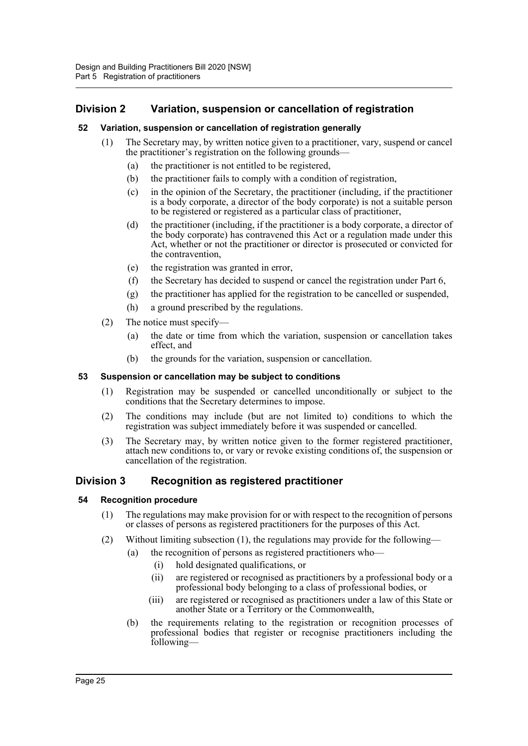# <span id="page-28-0"></span>**Division 2 Variation, suspension or cancellation of registration**

#### <span id="page-28-1"></span>**52 Variation, suspension or cancellation of registration generally**

- (1) The Secretary may, by written notice given to a practitioner, vary, suspend or cancel the practitioner's registration on the following grounds—
	- (a) the practitioner is not entitled to be registered,
	- (b) the practitioner fails to comply with a condition of registration,
	- (c) in the opinion of the Secretary, the practitioner (including, if the practitioner is a body corporate, a director of the body corporate) is not a suitable person to be registered or registered as a particular class of practitioner,
	- (d) the practitioner (including, if the practitioner is a body corporate, a director of the body corporate) has contravened this Act or a regulation made under this Act, whether or not the practitioner or director is prosecuted or convicted for the contravention,
	- (e) the registration was granted in error,
	- (f) the Secretary has decided to suspend or cancel the registration under Part 6,
	- (g) the practitioner has applied for the registration to be cancelled or suspended,
	- (h) a ground prescribed by the regulations.
- (2) The notice must specify—
	- (a) the date or time from which the variation, suspension or cancellation takes effect, and
	- (b) the grounds for the variation, suspension or cancellation.

#### <span id="page-28-2"></span>**53 Suspension or cancellation may be subject to conditions**

- (1) Registration may be suspended or cancelled unconditionally or subject to the conditions that the Secretary determines to impose.
- (2) The conditions may include (but are not limited to) conditions to which the registration was subject immediately before it was suspended or cancelled.
- (3) The Secretary may, by written notice given to the former registered practitioner, attach new conditions to, or vary or revoke existing conditions of, the suspension or cancellation of the registration.

## <span id="page-28-3"></span>**Division 3 Recognition as registered practitioner**

#### <span id="page-28-4"></span>**54 Recognition procedure**

- (1) The regulations may make provision for or with respect to the recognition of persons or classes of persons as registered practitioners for the purposes of this Act.
- (2) Without limiting subsection (1), the regulations may provide for the following—
	- (a) the recognition of persons as registered practitioners who—
		- (i) hold designated qualifications, or
		- (ii) are registered or recognised as practitioners by a professional body or a professional body belonging to a class of professional bodies, or
		- (iii) are registered or recognised as practitioners under a law of this State or another State or a Territory or the Commonwealth,
	- (b) the requirements relating to the registration or recognition processes of professional bodies that register or recognise practitioners including the following—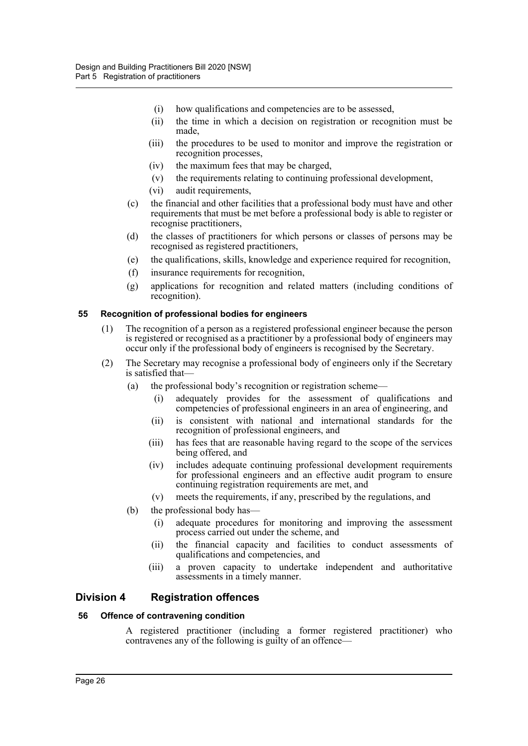- (i) how qualifications and competencies are to be assessed,
- (ii) the time in which a decision on registration or recognition must be made,
- (iii) the procedures to be used to monitor and improve the registration or recognition processes,
- (iv) the maximum fees that may be charged,
- (v) the requirements relating to continuing professional development,
- (vi) audit requirements,
- (c) the financial and other facilities that a professional body must have and other requirements that must be met before a professional body is able to register or recognise practitioners,
- (d) the classes of practitioners for which persons or classes of persons may be recognised as registered practitioners,
- (e) the qualifications, skills, knowledge and experience required for recognition,
- (f) insurance requirements for recognition,
- (g) applications for recognition and related matters (including conditions of recognition).

#### <span id="page-29-0"></span>**55 Recognition of professional bodies for engineers**

- (1) The recognition of a person as a registered professional engineer because the person is registered or recognised as a practitioner by a professional body of engineers may occur only if the professional body of engineers is recognised by the Secretary.
- (2) The Secretary may recognise a professional body of engineers only if the Secretary is satisfied that—
	- (a) the professional body's recognition or registration scheme—
		- (i) adequately provides for the assessment of qualifications and competencies of professional engineers in an area of engineering, and
		- (ii) is consistent with national and international standards for the recognition of professional engineers, and
		- (iii) has fees that are reasonable having regard to the scope of the services being offered, and
		- (iv) includes adequate continuing professional development requirements for professional engineers and an effective audit program to ensure continuing registration requirements are met, and
		- (v) meets the requirements, if any, prescribed by the regulations, and
	- (b) the professional body has—
		- (i) adequate procedures for monitoring and improving the assessment process carried out under the scheme, and
		- (ii) the financial capacity and facilities to conduct assessments of qualifications and competencies, and
		- (iii) a proven capacity to undertake independent and authoritative assessments in a timely manner.

## <span id="page-29-1"></span>**Division 4 Registration offences**

#### <span id="page-29-2"></span>**56 Offence of contravening condition**

A registered practitioner (including a former registered practitioner) who contravenes any of the following is guilty of an offence—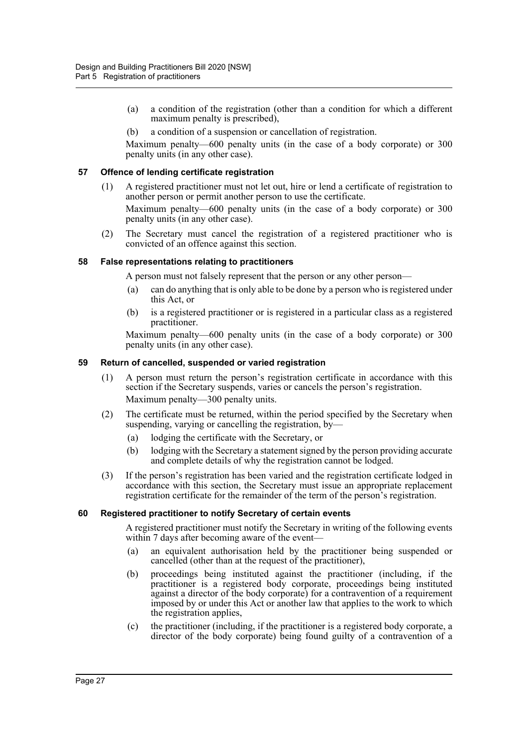- (a) a condition of the registration (other than a condition for which a different maximum penalty is prescribed),
- (b) a condition of a suspension or cancellation of registration.

Maximum penalty—600 penalty units (in the case of a body corporate) or 300 penalty units (in any other case).

#### <span id="page-30-0"></span>**57 Offence of lending certificate registration**

- (1) A registered practitioner must not let out, hire or lend a certificate of registration to another person or permit another person to use the certificate. Maximum penalty—600 penalty units (in the case of a body corporate) or 300 penalty units (in any other case).
- (2) The Secretary must cancel the registration of a registered practitioner who is convicted of an offence against this section.

#### <span id="page-30-1"></span>**58 False representations relating to practitioners**

A person must not falsely represent that the person or any other person—

- (a) can do anything that is only able to be done by a person who is registered under this Act, or
- (b) is a registered practitioner or is registered in a particular class as a registered practitioner.

Maximum penalty—600 penalty units (in the case of a body corporate) or 300 penalty units (in any other case).

#### <span id="page-30-2"></span>**59 Return of cancelled, suspended or varied registration**

- (1) A person must return the person's registration certificate in accordance with this section if the Secretary suspends, varies or cancels the person's registration. Maximum penalty—300 penalty units.
- (2) The certificate must be returned, within the period specified by the Secretary when suspending, varying or cancelling the registration, by-
	- (a) lodging the certificate with the Secretary, or
	- (b) lodging with the Secretary a statement signed by the person providing accurate and complete details of why the registration cannot be lodged.
- (3) If the person's registration has been varied and the registration certificate lodged in accordance with this section, the Secretary must issue an appropriate replacement registration certificate for the remainder of the term of the person's registration.

#### <span id="page-30-3"></span>**60 Registered practitioner to notify Secretary of certain events**

A registered practitioner must notify the Secretary in writing of the following events within 7 days after becoming aware of the event—

- (a) an equivalent authorisation held by the practitioner being suspended or cancelled (other than at the request of the practitioner),
- (b) proceedings being instituted against the practitioner (including, if the practitioner is a registered body corporate, proceedings being instituted against a director of the body corporate) for a contravention of a requirement imposed by or under this Act or another law that applies to the work to which the registration applies,
- (c) the practitioner (including, if the practitioner is a registered body corporate, a director of the body corporate) being found guilty of a contravention of a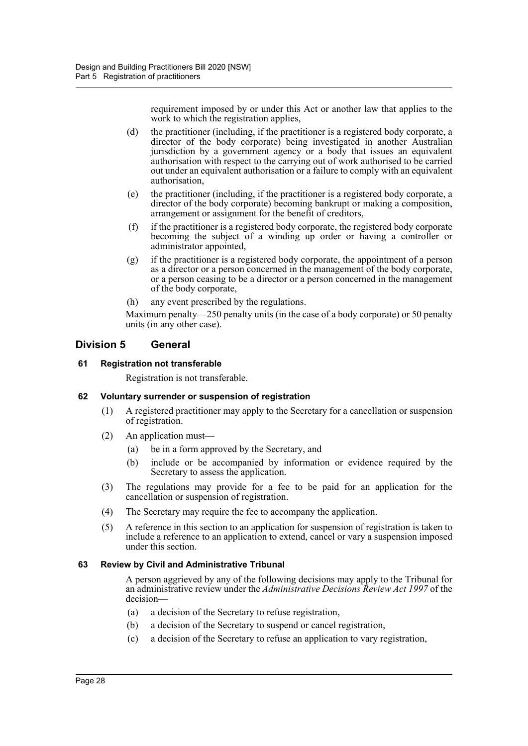requirement imposed by or under this Act or another law that applies to the work to which the registration applies,

- (d) the practitioner (including, if the practitioner is a registered body corporate, a director of the body corporate) being investigated in another Australian jurisdiction by a government agency or a body that issues an equivalent authorisation with respect to the carrying out of work authorised to be carried out under an equivalent authorisation or a failure to comply with an equivalent authorisation,
- (e) the practitioner (including, if the practitioner is a registered body corporate, a director of the body corporate) becoming bankrupt or making a composition, arrangement or assignment for the benefit of creditors,
- (f) if the practitioner is a registered body corporate, the registered body corporate becoming the subject of a winding up order or having a controller or administrator appointed,
- (g) if the practitioner is a registered body corporate, the appointment of a person as a director or a person concerned in the management of the body corporate, or a person ceasing to be a director or a person concerned in the management of the body corporate,
- (h) any event prescribed by the regulations.

Maximum penalty—250 penalty units (in the case of a body corporate) or 50 penalty units (in any other case).

## <span id="page-31-0"></span>**Division 5 General**

#### <span id="page-31-1"></span>**61 Registration not transferable**

Registration is not transferable.

#### <span id="page-31-2"></span>**62 Voluntary surrender or suspension of registration**

- (1) A registered practitioner may apply to the Secretary for a cancellation or suspension of registration.
- (2) An application must—
	- (a) be in a form approved by the Secretary, and
	- (b) include or be accompanied by information or evidence required by the Secretary to assess the application.
- (3) The regulations may provide for a fee to be paid for an application for the cancellation or suspension of registration.
- (4) The Secretary may require the fee to accompany the application.
- (5) A reference in this section to an application for suspension of registration is taken to include a reference to an application to extend, cancel or vary a suspension imposed under this section.

#### <span id="page-31-3"></span>**63 Review by Civil and Administrative Tribunal**

A person aggrieved by any of the following decisions may apply to the Tribunal for an administrative review under the *Administrative Decisions Review Act 1997* of the decision—

- (a) a decision of the Secretary to refuse registration,
- (b) a decision of the Secretary to suspend or cancel registration,
- (c) a decision of the Secretary to refuse an application to vary registration,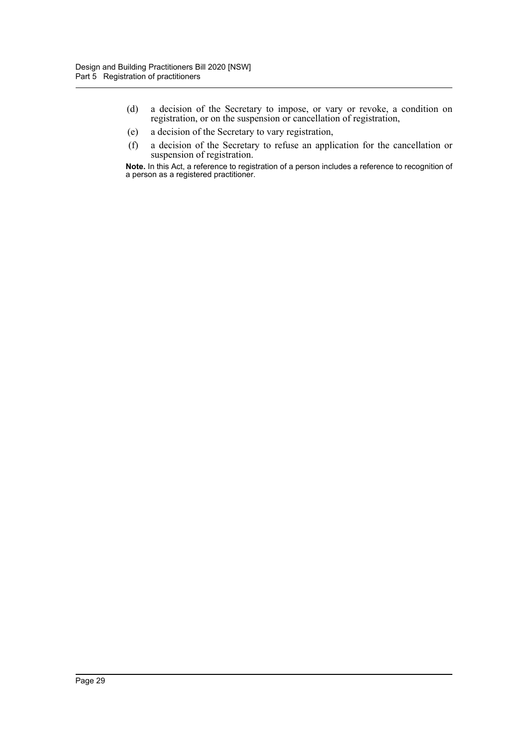- (d) a decision of the Secretary to impose, or vary or revoke, a condition on registration, or on the suspension or cancellation of registration,
- (e) a decision of the Secretary to vary registration,
- (f) a decision of the Secretary to refuse an application for the cancellation or suspension of registration.

**Note.** In this Act, a reference to registration of a person includes a reference to recognition of a person as a registered practitioner.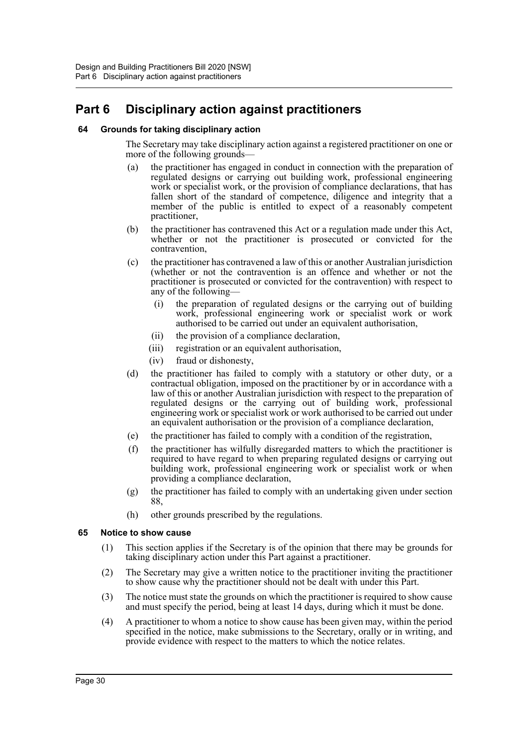# <span id="page-33-0"></span>**Part 6 Disciplinary action against practitioners**

#### <span id="page-33-1"></span>**64 Grounds for taking disciplinary action**

The Secretary may take disciplinary action against a registered practitioner on one or more of the following grounds—

- (a) the practitioner has engaged in conduct in connection with the preparation of regulated designs or carrying out building work, professional engineering work or specialist work, or the provision of compliance declarations, that has fallen short of the standard of competence, diligence and integrity that a member of the public is entitled to expect of a reasonably competent practitioner,
- (b) the practitioner has contravened this Act or a regulation made under this Act, whether or not the practitioner is prosecuted or convicted for the contravention,
- (c) the practitioner has contravened a law of this or another Australian jurisdiction (whether or not the contravention is an offence and whether or not the practitioner is prosecuted or convicted for the contravention) with respect to any of the following—
	- (i) the preparation of regulated designs or the carrying out of building work, professional engineering work or specialist work or work authorised to be carried out under an equivalent authorisation,
	- (ii) the provision of a compliance declaration,
	- (iii) registration or an equivalent authorisation,
	- (iv) fraud or dishonesty,
- (d) the practitioner has failed to comply with a statutory or other duty, or a contractual obligation, imposed on the practitioner by or in accordance with a law of this or another Australian jurisdiction with respect to the preparation of regulated designs or the carrying out of building work, professional engineering work or specialist work or work authorised to be carried out under an equivalent authorisation or the provision of a compliance declaration,
- (e) the practitioner has failed to comply with a condition of the registration,
- (f) the practitioner has wilfully disregarded matters to which the practitioner is required to have regard to when preparing regulated designs or carrying out building work, professional engineering work or specialist work or when providing a compliance declaration,
- (g) the practitioner has failed to comply with an undertaking given under section 88,
- (h) other grounds prescribed by the regulations.

#### <span id="page-33-2"></span>**65 Notice to show cause**

- (1) This section applies if the Secretary is of the opinion that there may be grounds for taking disciplinary action under this Part against a practitioner.
- (2) The Secretary may give a written notice to the practitioner inviting the practitioner to show cause why the practitioner should not be dealt with under this Part.
- (3) The notice must state the grounds on which the practitioner is required to show cause and must specify the period, being at least 14 days, during which it must be done.
- (4) A practitioner to whom a notice to show cause has been given may, within the period specified in the notice, make submissions to the Secretary, orally or in writing, and provide evidence with respect to the matters to which the notice relates.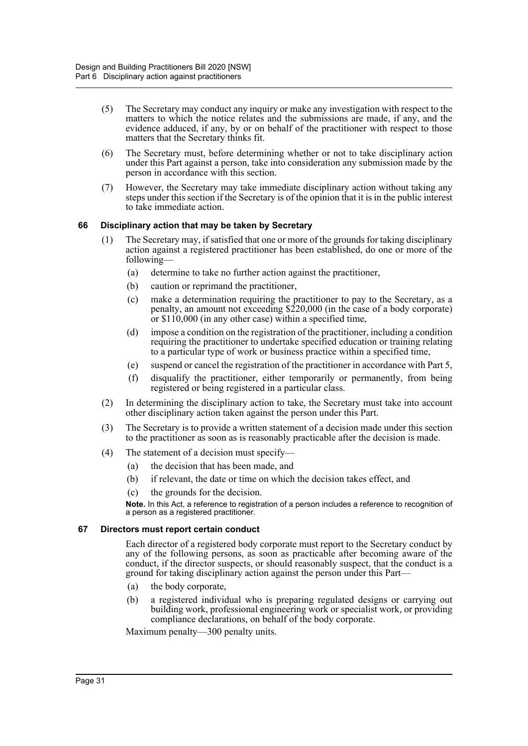- (5) The Secretary may conduct any inquiry or make any investigation with respect to the matters to which the notice relates and the submissions are made, if any, and the evidence adduced, if any, by or on behalf of the practitioner with respect to those matters that the Secretary thinks fit.
- (6) The Secretary must, before determining whether or not to take disciplinary action under this Part against a person, take into consideration any submission made by the person in accordance with this section.
- (7) However, the Secretary may take immediate disciplinary action without taking any steps under this section if the Secretary is of the opinion that it is in the public interest to take immediate action.

#### <span id="page-34-0"></span>**66 Disciplinary action that may be taken by Secretary**

- (1) The Secretary may, if satisfied that one or more of the grounds for taking disciplinary action against a registered practitioner has been established, do one or more of the following—
	- (a) determine to take no further action against the practitioner,
	- (b) caution or reprimand the practitioner,
	- (c) make a determination requiring the practitioner to pay to the Secretary, as a penalty, an amount not exceeding \$220,000 (in the case of a body corporate) or \$110,000 (in any other case) within a specified time,
	- (d) impose a condition on the registration of the practitioner, including a condition requiring the practitioner to undertake specified education or training relating to a particular type of work or business practice within a specified time,
	- (e) suspend or cancel the registration of the practitioner in accordance with Part 5,
	- (f) disqualify the practitioner, either temporarily or permanently, from being registered or being registered in a particular class.
- (2) In determining the disciplinary action to take, the Secretary must take into account other disciplinary action taken against the person under this Part.
- (3) The Secretary is to provide a written statement of a decision made under this section to the practitioner as soon as is reasonably practicable after the decision is made.
- (4) The statement of a decision must specify—
	- (a) the decision that has been made, and
	- (b) if relevant, the date or time on which the decision takes effect, and
	- (c) the grounds for the decision.

**Note.** In this Act, a reference to registration of a person includes a reference to recognition of a person as a registered practitioner.

#### <span id="page-34-1"></span>**67 Directors must report certain conduct**

Each director of a registered body corporate must report to the Secretary conduct by any of the following persons, as soon as practicable after becoming aware of the conduct, if the director suspects, or should reasonably suspect, that the conduct is a ground for taking disciplinary action against the person under this Part—

- (a) the body corporate,
- (b) a registered individual who is preparing regulated designs or carrying out building work, professional engineering work or specialist work, or providing compliance declarations, on behalf of the body corporate.

Maximum penalty—300 penalty units.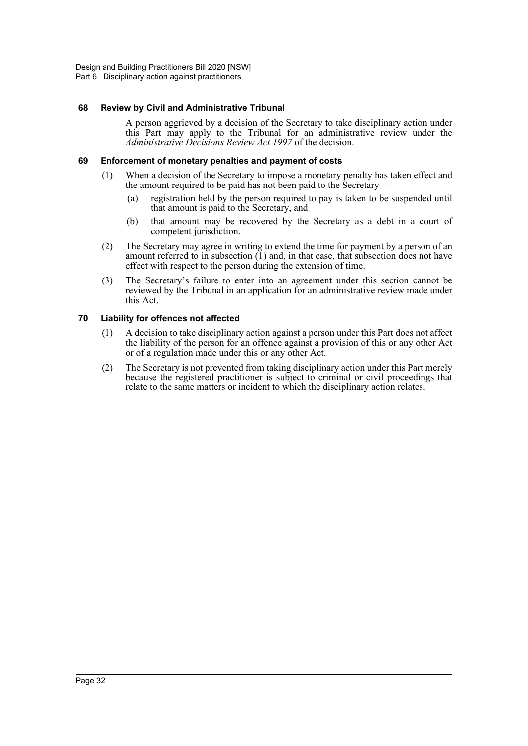#### <span id="page-35-0"></span>**68 Review by Civil and Administrative Tribunal**

A person aggrieved by a decision of the Secretary to take disciplinary action under this Part may apply to the Tribunal for an administrative review under the *Administrative Decisions Review Act 1997* of the decision.

#### <span id="page-35-1"></span>**69 Enforcement of monetary penalties and payment of costs**

- (1) When a decision of the Secretary to impose a monetary penalty has taken effect and the amount required to be paid has not been paid to the Secretary—
	- (a) registration held by the person required to pay is taken to be suspended until that amount is paid to the Secretary, and
	- (b) that amount may be recovered by the Secretary as a debt in a court of competent jurisdiction.
- (2) The Secretary may agree in writing to extend the time for payment by a person of an amount referred to in subsection  $(1)$  and, in that case, that subsection does not have effect with respect to the person during the extension of time.
- (3) The Secretary's failure to enter into an agreement under this section cannot be reviewed by the Tribunal in an application for an administrative review made under this Act.

#### <span id="page-35-2"></span>**70 Liability for offences not affected**

- (1) A decision to take disciplinary action against a person under this Part does not affect the liability of the person for an offence against a provision of this or any other Act or of a regulation made under this or any other Act.
- (2) The Secretary is not prevented from taking disciplinary action under this Part merely because the registered practitioner is subject to criminal or civil proceedings that relate to the same matters or incident to which the disciplinary action relates.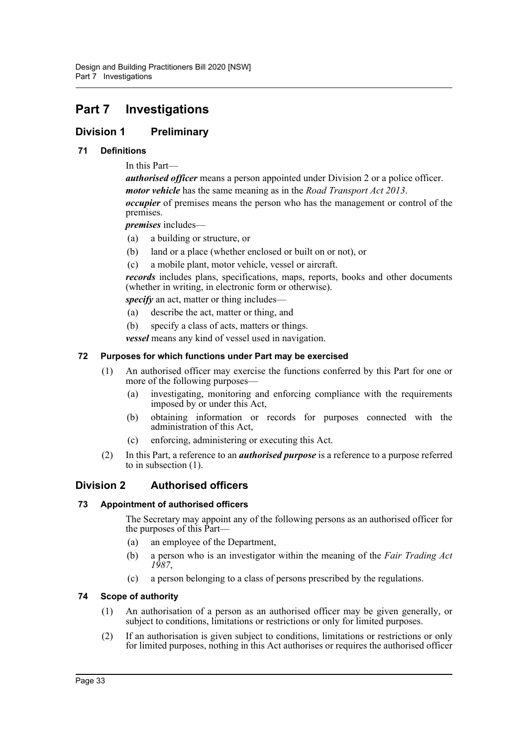# <span id="page-36-0"></span>**Part 7 Investigations**

# <span id="page-36-1"></span>**Division 1 Preliminary**

#### <span id="page-36-2"></span>**71 Definitions**

In this Part—

*authorised officer* means a person appointed under Division 2 or a police officer. *motor vehicle* has the same meaning as in the *Road Transport Act 2013*. *occupier* of premises means the person who has the management or control of the premises.

*premises* includes—

- (a) a building or structure, or
- (b) land or a place (whether enclosed or built on or not), or
- (c) a mobile plant, motor vehicle, vessel or aircraft.

*records* includes plans, specifications, maps, reports, books and other documents (whether in writing, in electronic form or otherwise).

*specify* an act, matter or thing includes—

- (a) describe the act, matter or thing, and
- (b) specify a class of acts, matters or things.

*vessel* means any kind of vessel used in navigation.

#### <span id="page-36-3"></span>**72 Purposes for which functions under Part may be exercised**

- (1) An authorised officer may exercise the functions conferred by this Part for one or more of the following purposes—
	- (a) investigating, monitoring and enforcing compliance with the requirements imposed by or under this Act,
	- (b) obtaining information or records for purposes connected with the administration of this Act,
	- (c) enforcing, administering or executing this Act.
- (2) In this Part, a reference to an *authorised purpose* is a reference to a purpose referred to in subsection (1).

## <span id="page-36-4"></span>**Division 2 Authorised officers**

#### <span id="page-36-5"></span>**73 Appointment of authorised officers**

The Secretary may appoint any of the following persons as an authorised officer for the purposes of this Part—

- (a) an employee of the Department,
- (b) a person who is an investigator within the meaning of the *Fair Trading Act 1987*,
- (c) a person belonging to a class of persons prescribed by the regulations.

#### <span id="page-36-6"></span>**74 Scope of authority**

- (1) An authorisation of a person as an authorised officer may be given generally, or subject to conditions, limitations or restrictions or only for limited purposes.
- (2) If an authorisation is given subject to conditions, limitations or restrictions or only for limited purposes, nothing in this Act authorises or requires the authorised officer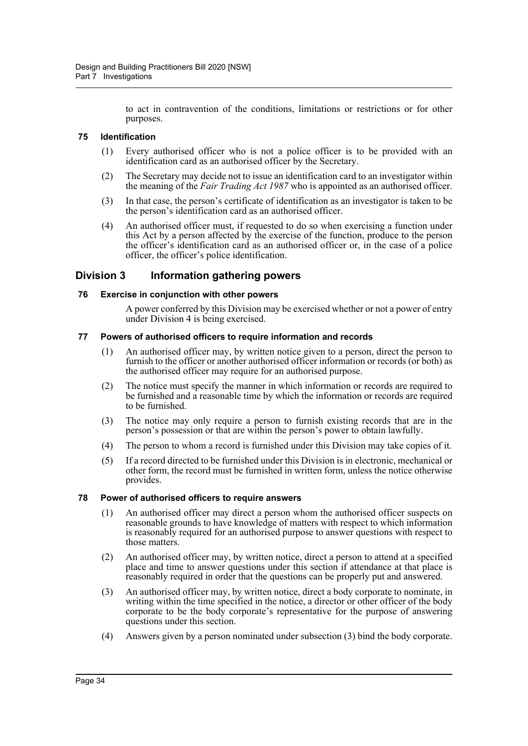to act in contravention of the conditions, limitations or restrictions or for other purposes.

#### <span id="page-37-0"></span>**75 Identification**

- (1) Every authorised officer who is not a police officer is to be provided with an identification card as an authorised officer by the Secretary.
- (2) The Secretary may decide not to issue an identification card to an investigator within the meaning of the *Fair Trading Act 1987* who is appointed as an authorised officer.
- (3) In that case, the person's certificate of identification as an investigator is taken to be the person's identification card as an authorised officer.
- (4) An authorised officer must, if requested to do so when exercising a function under this Act by a person affected by the exercise of the function, produce to the person the officer's identification card as an authorised officer or, in the case of a police officer, the officer's police identification.

## <span id="page-37-1"></span>**Division 3 Information gathering powers**

#### <span id="page-37-2"></span>**76 Exercise in conjunction with other powers**

A power conferred by this Division may be exercised whether or not a power of entry under Division 4 is being exercised.

#### <span id="page-37-3"></span>**77 Powers of authorised officers to require information and records**

- (1) An authorised officer may, by written notice given to a person, direct the person to furnish to the officer or another authorised officer information or records (or both) as the authorised officer may require for an authorised purpose.
- (2) The notice must specify the manner in which information or records are required to be furnished and a reasonable time by which the information or records are required to be furnished.
- (3) The notice may only require a person to furnish existing records that are in the person's possession or that are within the person's power to obtain lawfully.
- (4) The person to whom a record is furnished under this Division may take copies of it.
- (5) If a record directed to be furnished under this Division is in electronic, mechanical or other form, the record must be furnished in written form, unless the notice otherwise provides.

#### <span id="page-37-4"></span>**78 Power of authorised officers to require answers**

- (1) An authorised officer may direct a person whom the authorised officer suspects on reasonable grounds to have knowledge of matters with respect to which information is reasonably required for an authorised purpose to answer questions with respect to those matters.
- (2) An authorised officer may, by written notice, direct a person to attend at a specified place and time to answer questions under this section if attendance at that place is reasonably required in order that the questions can be properly put and answered.
- (3) An authorised officer may, by written notice, direct a body corporate to nominate, in writing within the time specified in the notice, a director or other officer of the body corporate to be the body corporate's representative for the purpose of answering questions under this section.
- (4) Answers given by a person nominated under subsection (3) bind the body corporate.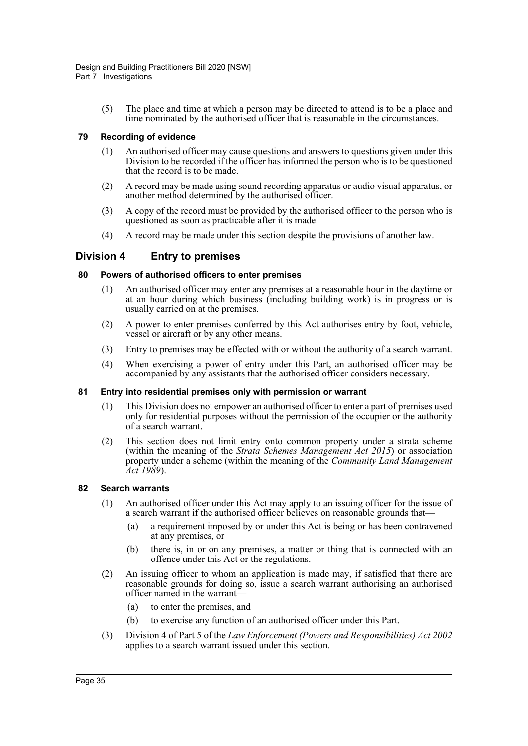(5) The place and time at which a person may be directed to attend is to be a place and time nominated by the authorised officer that is reasonable in the circumstances.

#### <span id="page-38-0"></span>**79 Recording of evidence**

- (1) An authorised officer may cause questions and answers to questions given under this Division to be recorded if the officer has informed the person who is to be questioned that the record is to be made.
- (2) A record may be made using sound recording apparatus or audio visual apparatus, or another method determined by the authorised officer.
- (3) A copy of the record must be provided by the authorised officer to the person who is questioned as soon as practicable after it is made.
- (4) A record may be made under this section despite the provisions of another law.

### <span id="page-38-1"></span>**Division 4 Entry to premises**

#### <span id="page-38-2"></span>**80 Powers of authorised officers to enter premises**

- (1) An authorised officer may enter any premises at a reasonable hour in the daytime or at an hour during which business (including building work) is in progress or is usually carried on at the premises.
- (2) A power to enter premises conferred by this Act authorises entry by foot, vehicle, vessel or aircraft or by any other means.
- (3) Entry to premises may be effected with or without the authority of a search warrant.
- (4) When exercising a power of entry under this Part, an authorised officer may be accompanied by any assistants that the authorised officer considers necessary.

#### <span id="page-38-3"></span>**81 Entry into residential premises only with permission or warrant**

- (1) This Division does not empower an authorised officer to enter a part of premises used only for residential purposes without the permission of the occupier or the authority of a search warrant.
- (2) This section does not limit entry onto common property under a strata scheme (within the meaning of the *Strata Schemes Management Act 2015*) or association property under a scheme (within the meaning of the *Community Land Management Act 1989*).

#### <span id="page-38-4"></span>**82 Search warrants**

- (1) An authorised officer under this Act may apply to an issuing officer for the issue of a search warrant if the authorised officer believes on reasonable grounds that—
	- (a) a requirement imposed by or under this Act is being or has been contravened at any premises, or
	- (b) there is, in or on any premises, a matter or thing that is connected with an offence under this Act or the regulations.
- (2) An issuing officer to whom an application is made may, if satisfied that there are reasonable grounds for doing so, issue a search warrant authorising an authorised officer named in the warrant—
	- (a) to enter the premises, and
	- (b) to exercise any function of an authorised officer under this Part.
- (3) Division 4 of Part 5 of the *Law Enforcement (Powers and Responsibilities) Act 2002* applies to a search warrant issued under this section.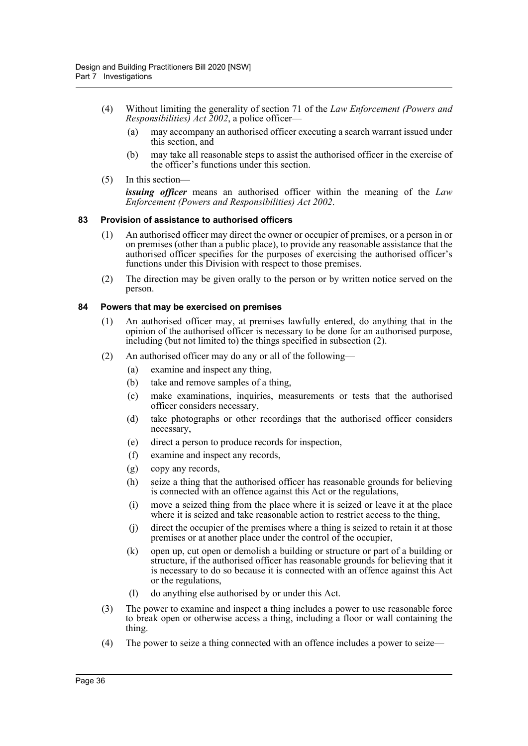- (4) Without limiting the generality of section 71 of the *Law Enforcement (Powers and Responsibilities) Act 2002*, a police officer—
	- (a) may accompany an authorised officer executing a search warrant issued under this section, and
	- (b) may take all reasonable steps to assist the authorised officer in the exercise of the officer's functions under this section.
- (5) In this section—

*issuing officer* means an authorised officer within the meaning of the *Law Enforcement (Powers and Responsibilities) Act 2002*.

#### <span id="page-39-0"></span>**83 Provision of assistance to authorised officers**

- (1) An authorised officer may direct the owner or occupier of premises, or a person in or on premises (other than a public place), to provide any reasonable assistance that the authorised officer specifies for the purposes of exercising the authorised officer's functions under this Division with respect to those premises.
- (2) The direction may be given orally to the person or by written notice served on the person.

#### <span id="page-39-1"></span>**84 Powers that may be exercised on premises**

- (1) An authorised officer may, at premises lawfully entered, do anything that in the opinion of the authorised officer is necessary to be done for an authorised purpose, including (but not limited to) the things specified in subsection (2).
- (2) An authorised officer may do any or all of the following—
	- (a) examine and inspect any thing,
	- (b) take and remove samples of a thing,
	- (c) make examinations, inquiries, measurements or tests that the authorised officer considers necessary,
	- (d) take photographs or other recordings that the authorised officer considers necessary,
	- (e) direct a person to produce records for inspection,
	- (f) examine and inspect any records,
	- (g) copy any records,
	- (h) seize a thing that the authorised officer has reasonable grounds for believing is connected with an offence against this Act or the regulations,
	- (i) move a seized thing from the place where it is seized or leave it at the place where it is seized and take reasonable action to restrict access to the thing,
	- (j) direct the occupier of the premises where a thing is seized to retain it at those premises or at another place under the control of the occupier,
	- (k) open up, cut open or demolish a building or structure or part of a building or structure, if the authorised officer has reasonable grounds for believing that it is necessary to do so because it is connected with an offence against this Act or the regulations,
	- (l) do anything else authorised by or under this Act.
- (3) The power to examine and inspect a thing includes a power to use reasonable force to break open or otherwise access a thing, including a floor or wall containing the thing.
- (4) The power to seize a thing connected with an offence includes a power to seize—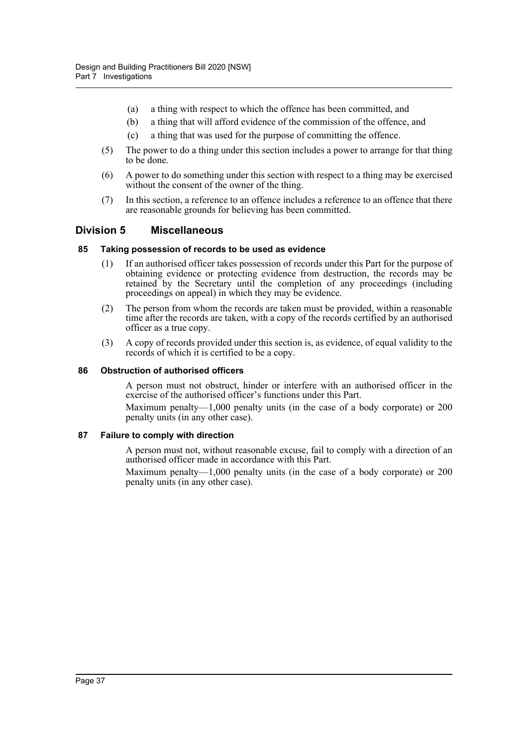- (a) a thing with respect to which the offence has been committed, and
- (b) a thing that will afford evidence of the commission of the offence, and
- (c) a thing that was used for the purpose of committing the offence.
- (5) The power to do a thing under this section includes a power to arrange for that thing to be done.
- (6) A power to do something under this section with respect to a thing may be exercised without the consent of the owner of the thing.
- (7) In this section, a reference to an offence includes a reference to an offence that there are reasonable grounds for believing has been committed.

#### <span id="page-40-0"></span>**Division 5 Miscellaneous**

#### <span id="page-40-1"></span>**85 Taking possession of records to be used as evidence**

- (1) If an authorised officer takes possession of records under this Part for the purpose of obtaining evidence or protecting evidence from destruction, the records may be retained by the Secretary until the completion of any proceedings (including proceedings on appeal) in which they may be evidence.
- (2) The person from whom the records are taken must be provided, within a reasonable time after the records are taken, with a copy of the records certified by an authorised officer as a true copy.
- (3) A copy of records provided under this section is, as evidence, of equal validity to the records of which it is certified to be a copy.

#### <span id="page-40-2"></span>**86 Obstruction of authorised officers**

A person must not obstruct, hinder or interfere with an authorised officer in the exercise of the authorised officer's functions under this Part.

Maximum penalty—1,000 penalty units (in the case of a body corporate) or 200 penalty units (in any other case).

#### <span id="page-40-3"></span>**87 Failure to comply with direction**

A person must not, without reasonable excuse, fail to comply with a direction of an authorised officer made in accordance with this Part.

Maximum penalty—1,000 penalty units (in the case of a body corporate) or 200 penalty units (in any other case).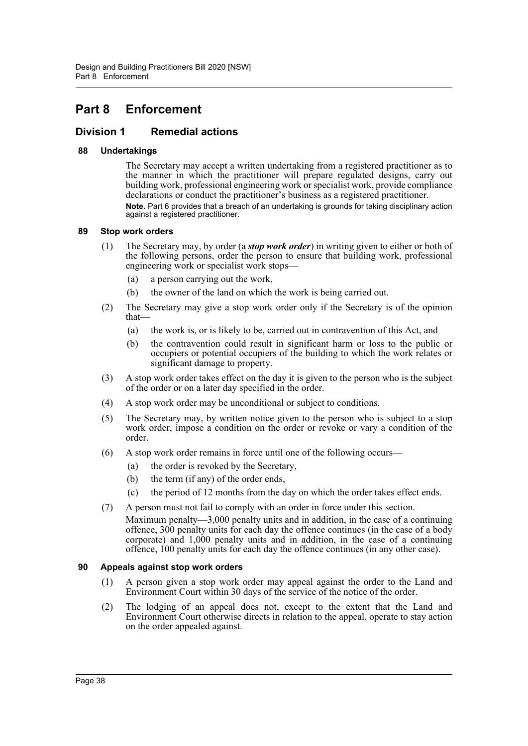# <span id="page-41-0"></span>**Part 8 Enforcement**

### <span id="page-41-1"></span>**Division 1 Remedial actions**

#### <span id="page-41-2"></span>**88 Undertakings**

The Secretary may accept a written undertaking from a registered practitioner as to the manner in which the practitioner will prepare regulated designs, carry out building work, professional engineering work or specialist work, provide compliance declarations or conduct the practitioner's business as a registered practitioner. **Note.** Part 6 provides that a breach of an undertaking is grounds for taking disciplinary action against a registered practitioner.

#### <span id="page-41-3"></span>**89 Stop work orders**

- (1) The Secretary may, by order (a *stop work order*) in writing given to either or both of the following persons, order the person to ensure that building work, professional engineering work or specialist work stops—
	- (a) a person carrying out the work,
	- (b) the owner of the land on which the work is being carried out.
- (2) The Secretary may give a stop work order only if the Secretary is of the opinion that—
	- (a) the work is, or is likely to be, carried out in contravention of this Act, and
	- (b) the contravention could result in significant harm or loss to the public or occupiers or potential occupiers of the building to which the work relates or significant damage to property.
- (3) A stop work order takes effect on the day it is given to the person who is the subject of the order or on a later day specified in the order.
- (4) A stop work order may be unconditional or subject to conditions.
- (5) The Secretary may, by written notice given to the person who is subject to a stop work order, impose a condition on the order or revoke or vary a condition of the order.
- (6) A stop work order remains in force until one of the following occurs—
	- (a) the order is revoked by the Secretary,
	- (b) the term (if any) of the order ends,
	- (c) the period of 12 months from the day on which the order takes effect ends.
- (7) A person must not fail to comply with an order in force under this section.

Maximum penalty—3,000 penalty units and in addition, in the case of a continuing offence, 300 penalty units for each day the offence continues (in the case of a body corporate) and 1,000 penalty units and in addition, in the case of a continuing offence, 100 penalty units for each day the offence continues (in any other case).

#### <span id="page-41-4"></span>**90 Appeals against stop work orders**

- (1) A person given a stop work order may appeal against the order to the Land and Environment Court within 30 days of the service of the notice of the order.
- (2) The lodging of an appeal does not, except to the extent that the Land and Environment Court otherwise directs in relation to the appeal, operate to stay action on the order appealed against.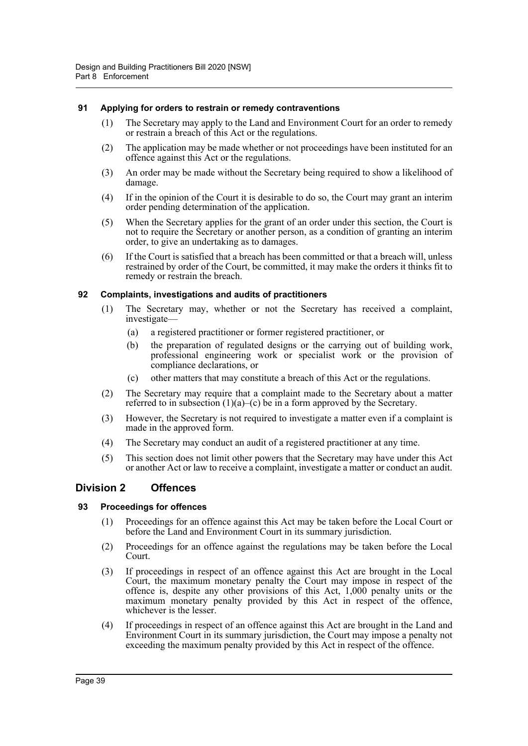#### <span id="page-42-0"></span>**91 Applying for orders to restrain or remedy contraventions**

- (1) The Secretary may apply to the Land and Environment Court for an order to remedy or restrain a breach of this Act or the regulations.
- (2) The application may be made whether or not proceedings have been instituted for an offence against this Act or the regulations.
- (3) An order may be made without the Secretary being required to show a likelihood of damage.
- (4) If in the opinion of the Court it is desirable to do so, the Court may grant an interim order pending determination of the application.
- (5) When the Secretary applies for the grant of an order under this section, the Court is not to require the Secretary or another person, as a condition of granting an interim order, to give an undertaking as to damages.
- (6) If the Court is satisfied that a breach has been committed or that a breach will, unless restrained by order of the Court, be committed, it may make the orders it thinks fit to remedy or restrain the breach.

#### <span id="page-42-1"></span>**92 Complaints, investigations and audits of practitioners**

- (1) The Secretary may, whether or not the Secretary has received a complaint, investigate—
	- (a) a registered practitioner or former registered practitioner, or
	- (b) the preparation of regulated designs or the carrying out of building work, professional engineering work or specialist work or the provision of compliance declarations, or
	- (c) other matters that may constitute a breach of this Act or the regulations.
- (2) The Secretary may require that a complaint made to the Secretary about a matter referred to in subsection  $(1)(a)$ – $(c)$  be in a form approved by the Secretary.
- (3) However, the Secretary is not required to investigate a matter even if a complaint is made in the approved form.
- (4) The Secretary may conduct an audit of a registered practitioner at any time.
- (5) This section does not limit other powers that the Secretary may have under this Act or another Act or law to receive a complaint, investigate a matter or conduct an audit.

## <span id="page-42-2"></span>**Division 2 Offences**

#### <span id="page-42-3"></span>**93 Proceedings for offences**

- (1) Proceedings for an offence against this Act may be taken before the Local Court or before the Land and Environment Court in its summary jurisdiction.
- (2) Proceedings for an offence against the regulations may be taken before the Local Court.
- (3) If proceedings in respect of an offence against this Act are brought in the Local Court, the maximum monetary penalty the Court may impose in respect of the offence is, despite any other provisions of this Act, 1,000 penalty units or the maximum monetary penalty provided by this Act in respect of the offence, whichever is the lesser.
- (4) If proceedings in respect of an offence against this Act are brought in the Land and Environment Court in its summary jurisdiction, the Court may impose a penalty not exceeding the maximum penalty provided by this Act in respect of the offence.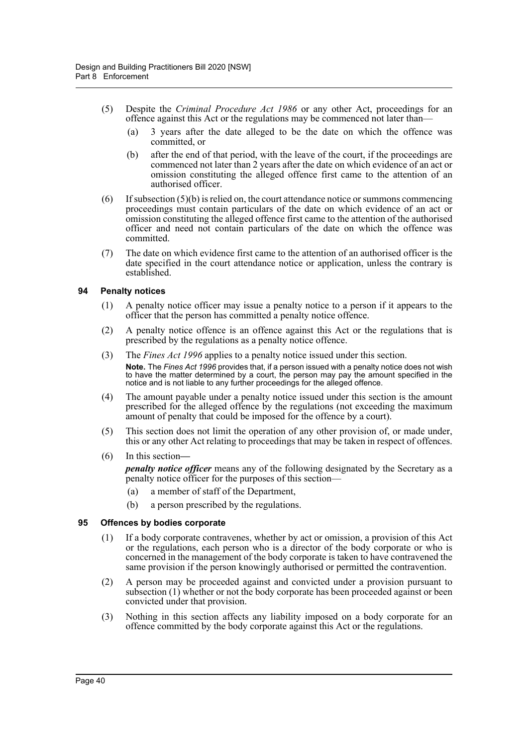- (5) Despite the *Criminal Procedure Act 1986* or any other Act, proceedings for an offence against this Act or the regulations may be commenced not later than—
	- (a) 3 years after the date alleged to be the date on which the offence was committed, or
	- (b) after the end of that period, with the leave of the court, if the proceedings are commenced not later than 2 years after the date on which evidence of an act or omission constituting the alleged offence first came to the attention of an authorised officer.
- $(6)$  If subsection  $(5)(b)$  is relied on, the court attendance notice or summons commencing proceedings must contain particulars of the date on which evidence of an act or omission constituting the alleged offence first came to the attention of the authorised officer and need not contain particulars of the date on which the offence was committed.
- (7) The date on which evidence first came to the attention of an authorised officer is the date specified in the court attendance notice or application, unless the contrary is established.

#### <span id="page-43-0"></span>**94 Penalty notices**

- (1) A penalty notice officer may issue a penalty notice to a person if it appears to the officer that the person has committed a penalty notice offence.
- (2) A penalty notice offence is an offence against this Act or the regulations that is prescribed by the regulations as a penalty notice offence.
- (3) The *Fines Act 1996* applies to a penalty notice issued under this section. **Note.** The *Fines Act 1996* provides that, if a person issued with a penalty notice does not wish to have the matter determined by a court, the person may pay the amount specified in the notice and is not liable to any further proceedings for the alleged offence.
- (4) The amount payable under a penalty notice issued under this section is the amount prescribed for the alleged offence by the regulations (not exceeding the maximum amount of penalty that could be imposed for the offence by a court).
- (5) This section does not limit the operation of any other provision of, or made under, this or any other Act relating to proceedings that may be taken in respect of offences.
- (6) In this section*—*

*penalty notice officer* means any of the following designated by the Secretary as a penalty notice officer for the purposes of this section—

- (a) a member of staff of the Department,
- (b) a person prescribed by the regulations.

#### <span id="page-43-1"></span>**95 Offences by bodies corporate**

- (1) If a body corporate contravenes, whether by act or omission, a provision of this Act or the regulations, each person who is a director of the body corporate or who is concerned in the management of the body corporate is taken to have contravened the same provision if the person knowingly authorised or permitted the contravention.
- (2) A person may be proceeded against and convicted under a provision pursuant to subsection (1) whether or not the body corporate has been proceeded against or been convicted under that provision.
- (3) Nothing in this section affects any liability imposed on a body corporate for an offence committed by the body corporate against this Act or the regulations.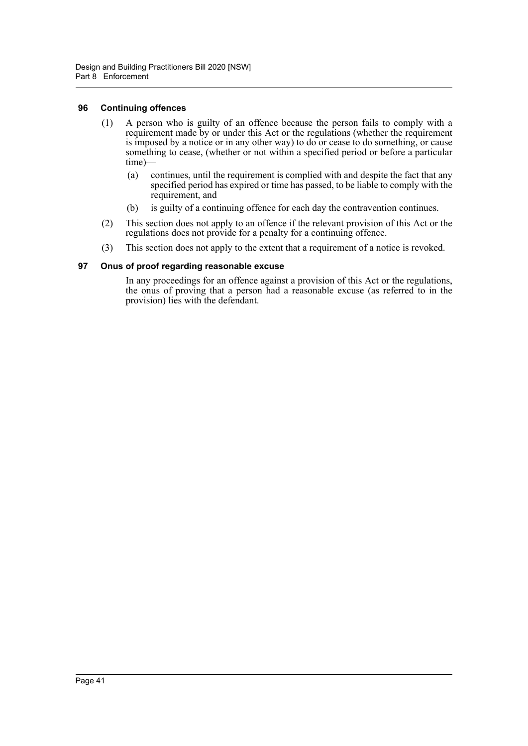#### <span id="page-44-0"></span>**96 Continuing offences**

- (1) A person who is guilty of an offence because the person fails to comply with a requirement made by or under this Act or the regulations (whether the requirement is imposed by a notice or in any other way) to do or cease to do something, or cause something to cease, (whether or not within a specified period or before a particular time)—
	- (a) continues, until the requirement is complied with and despite the fact that any specified period has expired or time has passed, to be liable to comply with the requirement, and
	- (b) is guilty of a continuing offence for each day the contravention continues.
- (2) This section does not apply to an offence if the relevant provision of this Act or the regulations does not provide for a penalty for a continuing offence.
- (3) This section does not apply to the extent that a requirement of a notice is revoked.

#### <span id="page-44-1"></span>**97 Onus of proof regarding reasonable excuse**

In any proceedings for an offence against a provision of this Act or the regulations, the onus of proving that a person had a reasonable excuse (as referred to in the provision) lies with the defendant.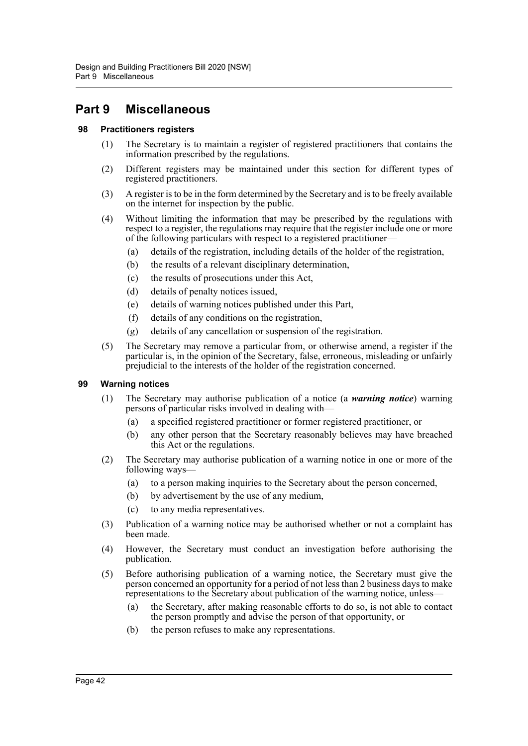# <span id="page-45-0"></span>**Part 9 Miscellaneous**

#### <span id="page-45-1"></span>**98 Practitioners registers**

- (1) The Secretary is to maintain a register of registered practitioners that contains the information prescribed by the regulations.
- (2) Different registers may be maintained under this section for different types of registered practitioners.
- (3) A register is to be in the form determined by the Secretary and is to be freely available on the internet for inspection by the public.
- (4) Without limiting the information that may be prescribed by the regulations with respect to a register, the regulations may require that the register include one or more of the following particulars with respect to a registered practitioner—
	- (a) details of the registration, including details of the holder of the registration,
	- (b) the results of a relevant disciplinary determination,
	- (c) the results of prosecutions under this Act,
	- (d) details of penalty notices issued,
	- (e) details of warning notices published under this Part,
	- (f) details of any conditions on the registration,
	- (g) details of any cancellation or suspension of the registration.
- (5) The Secretary may remove a particular from, or otherwise amend, a register if the particular is, in the opinion of the Secretary, false, erroneous, misleading or unfairly prejudicial to the interests of the holder of the registration concerned.

#### <span id="page-45-2"></span>**99 Warning notices**

- (1) The Secretary may authorise publication of a notice (a *warning notice*) warning persons of particular risks involved in dealing with—
	- (a) a specified registered practitioner or former registered practitioner, or
	- (b) any other person that the Secretary reasonably believes may have breached this Act or the regulations.
- (2) The Secretary may authorise publication of a warning notice in one or more of the following ways—
	- (a) to a person making inquiries to the Secretary about the person concerned,
	- (b) by advertisement by the use of any medium,
	- (c) to any media representatives.
- (3) Publication of a warning notice may be authorised whether or not a complaint has been made.
- (4) However, the Secretary must conduct an investigation before authorising the publication.
- (5) Before authorising publication of a warning notice, the Secretary must give the person concerned an opportunity for a period of not less than 2 business days to make representations to the Secretary about publication of the warning notice, unless—
	- (a) the Secretary, after making reasonable efforts to do so, is not able to contact the person promptly and advise the person of that opportunity, or
	- (b) the person refuses to make any representations.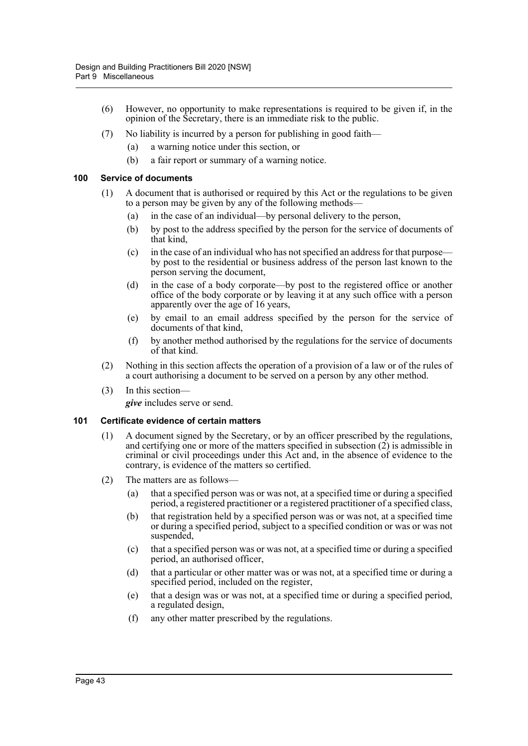- (6) However, no opportunity to make representations is required to be given if, in the opinion of the Secretary, there is an immediate risk to the public.
- (7) No liability is incurred by a person for publishing in good faith—
	- (a) a warning notice under this section, or
	- (b) a fair report or summary of a warning notice.

#### <span id="page-46-0"></span>**100 Service of documents**

- (1) A document that is authorised or required by this Act or the regulations to be given to a person may be given by any of the following methods—
	- (a) in the case of an individual—by personal delivery to the person,
	- (b) by post to the address specified by the person for the service of documents of that kind,
	- (c) in the case of an individual who has not specified an address for that purpose by post to the residential or business address of the person last known to the person serving the document,
	- (d) in the case of a body corporate—by post to the registered office or another office of the body corporate or by leaving it at any such office with a person apparently over the age of 16 years,
	- (e) by email to an email address specified by the person for the service of documents of that kind,
	- (f) by another method authorised by the regulations for the service of documents of that kind.
- (2) Nothing in this section affects the operation of a provision of a law or of the rules of a court authorising a document to be served on a person by any other method.
- (3) In this section *give* includes serve or send.

#### <span id="page-46-1"></span>**101 Certificate evidence of certain matters**

- (1) A document signed by the Secretary, or by an officer prescribed by the regulations, and certifying one or more of the matters specified in subsection (2) is admissible in criminal or civil proceedings under this Act and, in the absence of evidence to the contrary, is evidence of the matters so certified.
- (2) The matters are as follows—
	- (a) that a specified person was or was not, at a specified time or during a specified period, a registered practitioner or a registered practitioner of a specified class,
	- (b) that registration held by a specified person was or was not, at a specified time or during a specified period, subject to a specified condition or was or was not suspended,
	- (c) that a specified person was or was not, at a specified time or during a specified period, an authorised officer,
	- (d) that a particular or other matter was or was not, at a specified time or during a specified period, included on the register,
	- (e) that a design was or was not, at a specified time or during a specified period, a regulated design,
	- (f) any other matter prescribed by the regulations.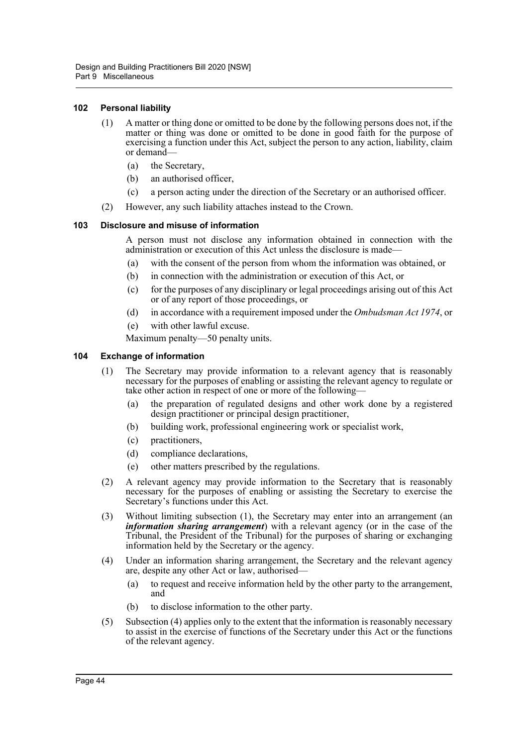#### <span id="page-47-0"></span>**102 Personal liability**

- (1) A matter or thing done or omitted to be done by the following persons does not, if the matter or thing was done or omitted to be done in good faith for the purpose of exercising a function under this Act, subject the person to any action, liability, claim or demand—
	- (a) the Secretary,
	- (b) an authorised officer,
	- (c) a person acting under the direction of the Secretary or an authorised officer.
- (2) However, any such liability attaches instead to the Crown.

#### <span id="page-47-1"></span>**103 Disclosure and misuse of information**

A person must not disclose any information obtained in connection with the administration or execution of this Act unless the disclosure is made—

- (a) with the consent of the person from whom the information was obtained, or
- (b) in connection with the administration or execution of this Act, or
- (c) for the purposes of any disciplinary or legal proceedings arising out of this Act or of any report of those proceedings, or
- (d) in accordance with a requirement imposed under the *Ombudsman Act 1974*, or
- (e) with other lawful excuse.

Maximum penalty—50 penalty units.

#### <span id="page-47-2"></span>**104 Exchange of information**

- (1) The Secretary may provide information to a relevant agency that is reasonably necessary for the purposes of enabling or assisting the relevant agency to regulate or take other action in respect of one or more of the following—
	- (a) the preparation of regulated designs and other work done by a registered design practitioner or principal design practitioner,
	- (b) building work, professional engineering work or specialist work,
	- (c) practitioners,
	- (d) compliance declarations,
	- (e) other matters prescribed by the regulations.
- (2) A relevant agency may provide information to the Secretary that is reasonably necessary for the purposes of enabling or assisting the Secretary to exercise the Secretary's functions under this Act.
- (3) Without limiting subsection (1), the Secretary may enter into an arrangement (an *information sharing arrangement*) with a relevant agency (or in the case of the Tribunal, the President of the Tribunal) for the purposes of sharing or exchanging information held by the Secretary or the agency.
- (4) Under an information sharing arrangement, the Secretary and the relevant agency are, despite any other Act or law, authorised—
	- (a) to request and receive information held by the other party to the arrangement, and
	- (b) to disclose information to the other party.
- (5) Subsection (4) applies only to the extent that the information is reasonably necessary to assist in the exercise of functions of the Secretary under this Act or the functions of the relevant agency.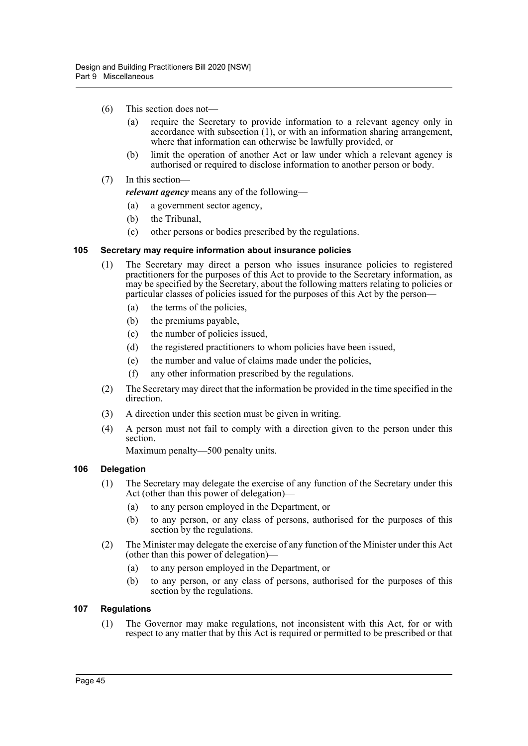- (6) This section does not—
	- (a) require the Secretary to provide information to a relevant agency only in accordance with subsection (1), or with an information sharing arrangement, where that information can otherwise be lawfully provided, or
	- (b) limit the operation of another Act or law under which a relevant agency is authorised or required to disclose information to another person or body.
- (7) In this section—

*relevant agency* means any of the following—

- (a) a government sector agency,
- (b) the Tribunal,
- (c) other persons or bodies prescribed by the regulations.

#### <span id="page-48-0"></span>**105 Secretary may require information about insurance policies**

- (1) The Secretary may direct a person who issues insurance policies to registered practitioners for the purposes of this Act to provide to the Secretary information, as may be specified by the Secretary, about the following matters relating to policies or particular classes of policies issued for the purposes of this Act by the person—
	- (a) the terms of the policies,
	- (b) the premiums payable,
	- (c) the number of policies issued,
	- (d) the registered practitioners to whom policies have been issued,
	- (e) the number and value of claims made under the policies,
	- (f) any other information prescribed by the regulations.
- (2) The Secretary may direct that the information be provided in the time specified in the direction.
- (3) A direction under this section must be given in writing.
- (4) A person must not fail to comply with a direction given to the person under this section.

Maximum penalty—500 penalty units.

#### <span id="page-48-1"></span>**106 Delegation**

- (1) The Secretary may delegate the exercise of any function of the Secretary under this Act (other than this power of delegation)—
	- (a) to any person employed in the Department, or
	- (b) to any person, or any class of persons, authorised for the purposes of this section by the regulations.
- (2) The Minister may delegate the exercise of any function of the Minister under this Act (other than this power of delegation)—
	- (a) to any person employed in the Department, or
	- (b) to any person, or any class of persons, authorised for the purposes of this section by the regulations.

#### <span id="page-48-2"></span>**107 Regulations**

(1) The Governor may make regulations, not inconsistent with this Act, for or with respect to any matter that by this Act is required or permitted to be prescribed or that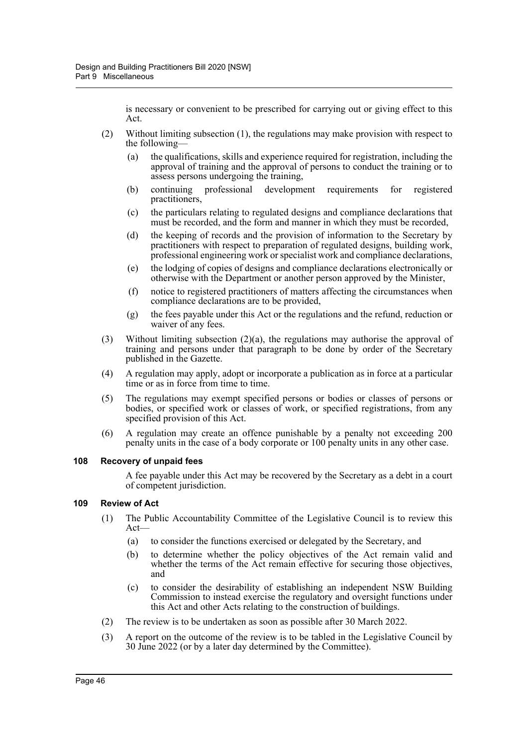is necessary or convenient to be prescribed for carrying out or giving effect to this Act.

- (2) Without limiting subsection (1), the regulations may make provision with respect to the following—
	- (a) the qualifications, skills and experience required for registration, including the approval of training and the approval of persons to conduct the training or to assess persons undergoing the training,
	- (b) continuing professional development requirements for registered practitioners,
	- (c) the particulars relating to regulated designs and compliance declarations that must be recorded, and the form and manner in which they must be recorded,
	- (d) the keeping of records and the provision of information to the Secretary by practitioners with respect to preparation of regulated designs, building work, professional engineering work or specialist work and compliance declarations,
	- (e) the lodging of copies of designs and compliance declarations electronically or otherwise with the Department or another person approved by the Minister,
	- (f) notice to registered practitioners of matters affecting the circumstances when compliance declarations are to be provided,
	- (g) the fees payable under this Act or the regulations and the refund, reduction or waiver of any fees.
- (3) Without limiting subsection  $(2)(a)$ , the regulations may authorise the approval of training and persons under that paragraph to be done by order of the Secretary published in the Gazette.
- (4) A regulation may apply, adopt or incorporate a publication as in force at a particular time or as in force from time to time.
- (5) The regulations may exempt specified persons or bodies or classes of persons or bodies, or specified work or classes of work, or specified registrations, from any specified provision of this Act.
- (6) A regulation may create an offence punishable by a penalty not exceeding 200 penalty units in the case of a body corporate or 100 penalty units in any other case.

#### <span id="page-49-0"></span>**108 Recovery of unpaid fees**

A fee payable under this Act may be recovered by the Secretary as a debt in a court of competent jurisdiction.

#### <span id="page-49-1"></span>**109 Review of Act**

- (1) The Public Accountability Committee of the Legislative Council is to review this Act—
	- (a) to consider the functions exercised or delegated by the Secretary, and
	- (b) to determine whether the policy objectives of the Act remain valid and whether the terms of the Act remain effective for securing those objectives, and
	- (c) to consider the desirability of establishing an independent NSW Building Commission to instead exercise the regulatory and oversight functions under this Act and other Acts relating to the construction of buildings.
- (2) The review is to be undertaken as soon as possible after 30 March 2022.
- (3) A report on the outcome of the review is to be tabled in the Legislative Council by 30 June 2022 (or by a later day determined by the Committee).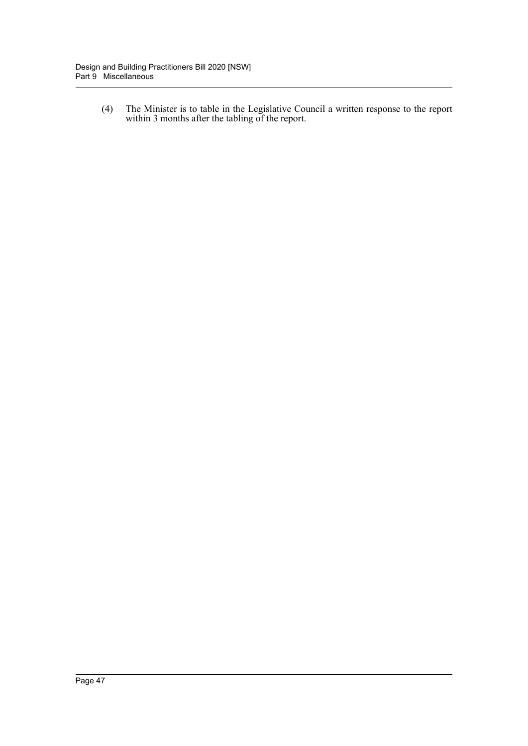(4) The Minister is to table in the Legislative Council a written response to the report within 3 months after the tabling of the report.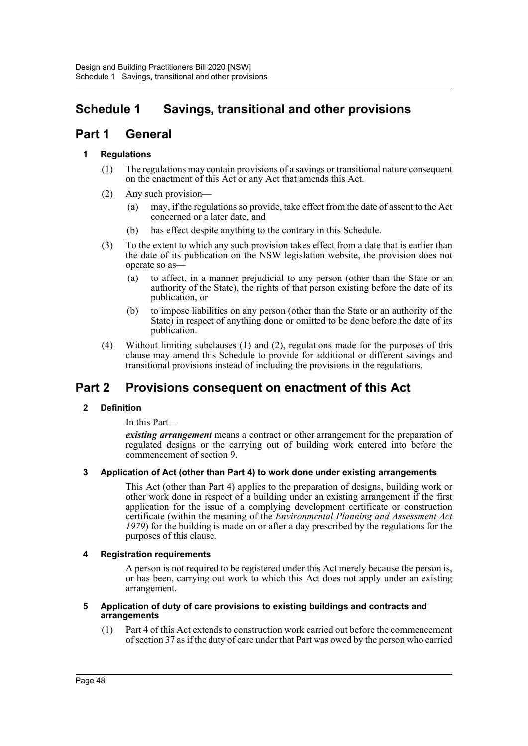# <span id="page-51-0"></span>**Schedule 1 Savings, transitional and other provisions**

# **Part 1 General**

### **1 Regulations**

- (1) The regulations may contain provisions of a savings or transitional nature consequent on the enactment of this Act or any Act that amends this Act.
- (2) Any such provision—
	- (a) may, if the regulations so provide, take effect from the date of assent to the Act concerned or a later date, and
	- (b) has effect despite anything to the contrary in this Schedule.
- (3) To the extent to which any such provision takes effect from a date that is earlier than the date of its publication on the NSW legislation website, the provision does not operate so as—
	- (a) to affect, in a manner prejudicial to any person (other than the State or an authority of the State), the rights of that person existing before the date of its publication, or
	- (b) to impose liabilities on any person (other than the State or an authority of the State) in respect of anything done or omitted to be done before the date of its publication.
- (4) Without limiting subclauses (1) and (2), regulations made for the purposes of this clause may amend this Schedule to provide for additional or different savings and transitional provisions instead of including the provisions in the regulations.

# **Part 2 Provisions consequent on enactment of this Act**

#### **2 Definition**

In this Part—

*existing arrangement* means a contract or other arrangement for the preparation of regulated designs or the carrying out of building work entered into before the commencement of section 9.

#### **3 Application of Act (other than Part 4) to work done under existing arrangements**

This Act (other than Part 4) applies to the preparation of designs, building work or other work done in respect of a building under an existing arrangement if the first application for the issue of a complying development certificate or construction certificate (within the meaning of the *Environmental Planning and Assessment Act 1979*) for the building is made on or after a day prescribed by the regulations for the purposes of this clause.

#### **4 Registration requirements**

A person is not required to be registered under this Act merely because the person is, or has been, carrying out work to which this Act does not apply under an existing arrangement.

#### **5 Application of duty of care provisions to existing buildings and contracts and arrangements**

(1) Part 4 of this Act extends to construction work carried out before the commencement of section 37 as if the duty of care under that Part was owed by the person who carried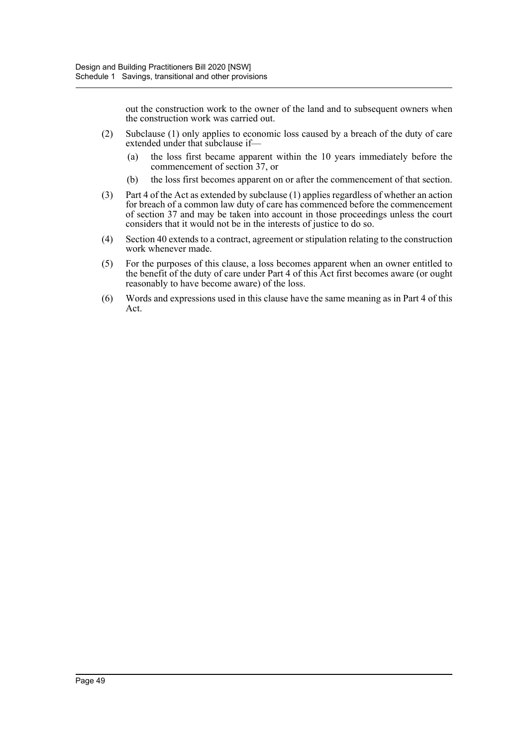out the construction work to the owner of the land and to subsequent owners when the construction work was carried out.

- (2) Subclause (1) only applies to economic loss caused by a breach of the duty of care extended under that subclause if—
	- (a) the loss first became apparent within the 10 years immediately before the commencement of section 37, or
	- (b) the loss first becomes apparent on or after the commencement of that section.
- (3) Part 4 of the Act as extended by subclause (1) applies regardless of whether an action for breach of a common law duty of care has commenced before the commencement of section 37 and may be taken into account in those proceedings unless the court considers that it would not be in the interests of justice to do so.
- (4) Section 40 extends to a contract, agreement or stipulation relating to the construction work whenever made.
- (5) For the purposes of this clause, a loss becomes apparent when an owner entitled to the benefit of the duty of care under Part 4 of this Act first becomes aware (or ought reasonably to have become aware) of the loss.
- (6) Words and expressions used in this clause have the same meaning as in Part 4 of this Act.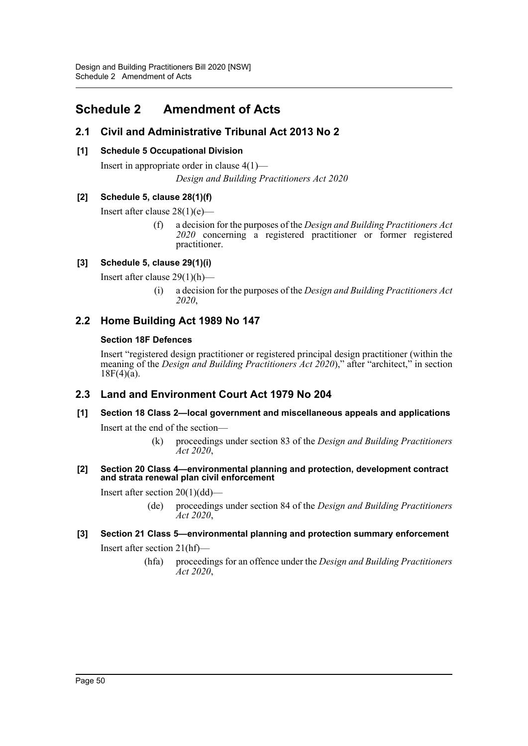# <span id="page-53-0"></span>**Schedule 2 Amendment of Acts**

# **2.1 Civil and Administrative Tribunal Act 2013 No 2**

### **[1] Schedule 5 Occupational Division**

Insert in appropriate order in clause 4(1)— *Design and Building Practitioners Act 2020*

### **[2] Schedule 5, clause 28(1)(f)**

Insert after clause 28(1)(e)—

(f) a decision for the purposes of the *Design and Building Practitioners Act 2020* concerning a registered practitioner or former registered practitioner.

## **[3] Schedule 5, clause 29(1)(i)**

Insert after clause 29(1)(h)—

(i) a decision for the purposes of the *Design and Building Practitioners Act 2020*,

# **2.2 Home Building Act 1989 No 147**

#### **Section 18F Defences**

Insert "registered design practitioner or registered principal design practitioner (within the meaning of the *Design and Building Practitioners Act 2020*)," after "architect," in section  $18F(4)(a)$ .

## **2.3 Land and Environment Court Act 1979 No 204**

# **[1] Section 18 Class 2—local government and miscellaneous appeals and applications**

Insert at the end of the section—

(k) proceedings under section 83 of the *Design and Building Practitioners Act 2020*,

#### **[2] Section 20 Class 4—environmental planning and protection, development contract and strata renewal plan civil enforcement**

Insert after section 20(1)(dd)—

(de) proceedings under section 84 of the *Design and Building Practitioners Act 2020*,

# **[3] Section 21 Class 5—environmental planning and protection summary enforcement**

Insert after section 21(hf)—

(hfa) proceedings for an offence under the *Design and Building Practitioners Act 2020*,